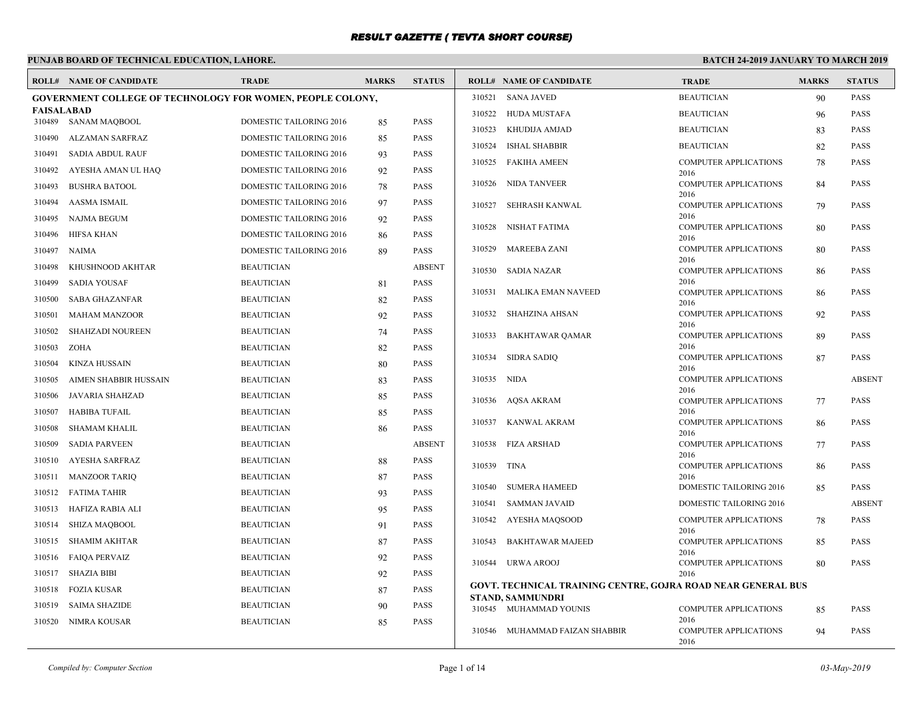# **PUNJAB BOARD OF TECHNICAL EDUCATION, LAHORE.**

|                   | <b>ROLL# NAME OF CANDIDATE</b>                                    | <b>TRADE</b>                                       | <b>MARKS</b> | <b>STATUS</b>              |             | <b>ROLL# NAME OF CANDIDATE</b>                                      | <b>TRADE</b>                         | <b>MARKS</b> | <b>STATUS</b> |
|-------------------|-------------------------------------------------------------------|----------------------------------------------------|--------------|----------------------------|-------------|---------------------------------------------------------------------|--------------------------------------|--------------|---------------|
|                   | <b>GOVERNMENT COLLEGE OF TECHNOLOGY FOR WOMEN, PEOPLE COLONY,</b> |                                                    |              |                            | 310521      | <b>SANA JAVED</b>                                                   | <b>BEAUTICIAN</b>                    | 90           | <b>PASS</b>   |
| <b>FAISALABAD</b> | 310489 SANAM MAQBOOL                                              | DOMESTIC TAILORING 2016                            |              | <b>PASS</b>                |             | 310522 HUDA MUSTAFA                                                 | <b>BEAUTICIAN</b>                    | 96           | <b>PASS</b>   |
|                   |                                                                   |                                                    | 85           |                            | 310523      | KHUDIJA AMJAD                                                       | <b>BEAUTICIAN</b>                    | 83           | <b>PASS</b>   |
| 310490<br>310491  | ALZAMAN SARFRAZ<br>SADIA ABDUL RAUF                               | DOMESTIC TAILORING 2016<br>DOMESTIC TAILORING 2016 | 85           | <b>PASS</b><br><b>PASS</b> | 310524      | <b>ISHAL SHABBIR</b>                                                | <b>BEAUTICIAN</b>                    | 82           | <b>PASS</b>   |
|                   |                                                                   |                                                    | 93           |                            | 310525      | FAKIHA AMEEN                                                        | <b>COMPUTER APPLICATIONS</b>         | 78           | <b>PASS</b>   |
| 310492            | AYESHA AMAN UL HAQ                                                | DOMESTIC TAILORING 2016                            | 92           | <b>PASS</b><br><b>PASS</b> | 310526      | NIDA TANVEER                                                        | 2016<br><b>COMPUTER APPLICATIONS</b> | 84           | <b>PASS</b>   |
| 310493            | <b>BUSHRA BATOOL</b>                                              | DOMESTIC TAILORING 2016                            | 78           |                            |             |                                                                     | 2016                                 |              |               |
| 310494            | <b>AASMA ISMAIL</b>                                               | DOMESTIC TAILORING 2016                            | 97           | <b>PASS</b>                | 310527      | SEHRASH KANWAL                                                      | <b>COMPUTER APPLICATIONS</b><br>2016 | 79           | <b>PASS</b>   |
| 310495            | NAJMA BEGUM                                                       | DOMESTIC TAILORING 2016                            | 92           | <b>PASS</b>                | 310528      | NISHAT FATIMA                                                       | <b>COMPUTER APPLICATIONS</b>         | 80           | <b>PASS</b>   |
| 310496            | HIFSA KHAN                                                        | DOMESTIC TAILORING 2016                            | 86           | <b>PASS</b>                | 310529      | MAREEBA ZANI                                                        | 2016<br><b>COMPUTER APPLICATIONS</b> | 80           | <b>PASS</b>   |
| 310497            | NAIMA                                                             | DOMESTIC TAILORING 2016                            | 89           | <b>PASS</b>                |             |                                                                     | 2016                                 |              |               |
| 310498            | KHUSHNOOD AKHTAR                                                  | <b>BEAUTICIAN</b>                                  |              | <b>ABSENT</b>              |             | 310530 SADIA NAZAR                                                  | <b>COMPUTER APPLICATIONS</b><br>2016 | 86           | <b>PASS</b>   |
| 310499            | <b>SADIA YOUSAF</b>                                               | <b>BEAUTICIAN</b>                                  | 81           | <b>PASS</b>                | 310531      | MALIKA EMAN NAVEED                                                  | <b>COMPUTER APPLICATIONS</b>         | 86           | PASS          |
| 310500            | SABA GHAZANFAR                                                    | <b>BEAUTICIAN</b>                                  | 82           | <b>PASS</b>                |             |                                                                     | 2016                                 |              |               |
| 310501            | <b>MAHAM MANZOOR</b>                                              | <b>BEAUTICIAN</b>                                  | 92           | <b>PASS</b>                | 310532      | SHAHZINA AHSAN                                                      | <b>COMPUTER APPLICATIONS</b><br>2016 | 92           | PASS          |
| 310502            | <b>SHAHZADI NOUREEN</b>                                           | <b>BEAUTICIAN</b>                                  | 74           | <b>PASS</b>                | 310533      | <b>BAKHTAWAR QAMAR</b>                                              | <b>COMPUTER APPLICATIONS</b>         | 89           | <b>PASS</b>   |
| 310503            | <b>ZOHA</b>                                                       | <b>BEAUTICIAN</b>                                  | 82           | <b>PASS</b>                | 310534      | SIDRA SADIO                                                         | 2016<br><b>COMPUTER APPLICATIONS</b> | 87           | <b>PASS</b>   |
| 310504            | <b>KINZA HUSSAIN</b>                                              | <b>BEAUTICIAN</b>                                  | 80           | <b>PASS</b>                |             |                                                                     | 2016                                 |              |               |
| 310505            | AIMEN SHABBIR HUSSAIN                                             | <b>BEAUTICIAN</b>                                  | 83           | <b>PASS</b>                | 310535      | NIDA                                                                | <b>COMPUTER APPLICATIONS</b><br>2016 |              | <b>ABSENT</b> |
| 310506            | JAVARIA SHAHZAD                                                   | <b>BEAUTICIAN</b>                                  | 85           | <b>PASS</b>                |             | 310536 AOSA AKRAM                                                   | <b>COMPUTER APPLICATIONS</b>         | 77           | <b>PASS</b>   |
| 310507            | <b>HABIBA TUFAIL</b>                                              | <b>BEAUTICIAN</b>                                  | 85           | <b>PASS</b>                | 310537      | KANWAL AKRAM                                                        | 2016<br><b>COMPUTER APPLICATIONS</b> | 86           | <b>PASS</b>   |
| 310508            | <b>SHAMAM KHALIL</b>                                              | <b>BEAUTICIAN</b>                                  | 86           | <b>PASS</b>                |             |                                                                     | 2016                                 |              |               |
| 310509            | <b>SADIA PARVEEN</b>                                              | <b>BEAUTICIAN</b>                                  |              | <b>ABSENT</b>              |             | 310538 FIZA ARSHAD                                                  | <b>COMPUTER APPLICATIONS</b>         | 77           | <b>PASS</b>   |
| 310510            | <b>AYESHA SARFRAZ</b>                                             | <b>BEAUTICIAN</b>                                  | 88           | <b>PASS</b>                | 310539 TINA |                                                                     | 2016<br><b>COMPUTER APPLICATIONS</b> | 86           | <b>PASS</b>   |
| 310511            | <b>MANZOOR TARIQ</b>                                              | <b>BEAUTICIAN</b>                                  | 87           | <b>PASS</b>                |             |                                                                     | 2016                                 |              |               |
| 310512            | FATIMA TAHIR                                                      | <b>BEAUTICIAN</b>                                  | 93           | <b>PASS</b>                | 310540      | <b>SUMERA HAMEED</b>                                                | DOMESTIC TAILORING 2016              | 85           | PASS          |
| 310513            | HAFIZA RABIA ALI                                                  | <b>BEAUTICIAN</b>                                  | 95           | <b>PASS</b>                | 310541      | <b>SAMMAN JAVAID</b>                                                | DOMESTIC TAILORING 2016              |              | <b>ABSENT</b> |
| 310514            | SHIZA MAQBOOL                                                     | <b>BEAUTICIAN</b>                                  | 91           | <b>PASS</b>                | 310542      | AYESHA MAQSOOD                                                      | <b>COMPUTER APPLICATIONS</b><br>2016 | 78           | <b>PASS</b>   |
| 310515            | SHAMIM AKHTAR                                                     | <b>BEAUTICIAN</b>                                  | 87           | <b>PASS</b>                | 310543      | BAKHTAWAR MAJEED                                                    | <b>COMPUTER APPLICATIONS</b>         | 85           | <b>PASS</b>   |
| 310516            | FAIQA PERVAIZ                                                     | <b>BEAUTICIAN</b>                                  | 92           | <b>PASS</b>                |             | 310544 URWA AROOJ                                                   | 2016<br><b>COMPUTER APPLICATIONS</b> | 80           | <b>PASS</b>   |
|                   | 310517 SHAZIA BIBI                                                | <b>BEAUTICIAN</b>                                  | 92           | <b>PASS</b>                |             |                                                                     | 2016                                 |              |               |
| 310518            | FOZIA KUSAR                                                       | <b>BEAUTICIAN</b>                                  | 87           | <b>PASS</b>                |             | <b>GOVT. TECHNICAL TRAINING CENTRE, GOJRA ROAD NEAR GENERAL BUS</b> |                                      |              |               |
| 310519            | <b>SAIMA SHAZIDE</b>                                              | <b>BEAUTICIAN</b>                                  | 90           | <b>PASS</b>                |             | <b>STAND, SAMMUNDRI</b><br>310545 MUHAMMAD YOUNIS                   | <b>COMPUTER APPLICATIONS</b>         | 85           | <b>PASS</b>   |
| 310520            | <b>NIMRA KOUSAR</b>                                               | <b>BEAUTICIAN</b>                                  | 85           | <b>PASS</b>                |             |                                                                     | 2016                                 |              |               |
|                   |                                                                   |                                                    |              |                            |             | 310546 MUHAMMAD FAIZAN SHABBIR                                      | <b>COMPUTER APPLICATIONS</b><br>2016 | 94           | <b>PASS</b>   |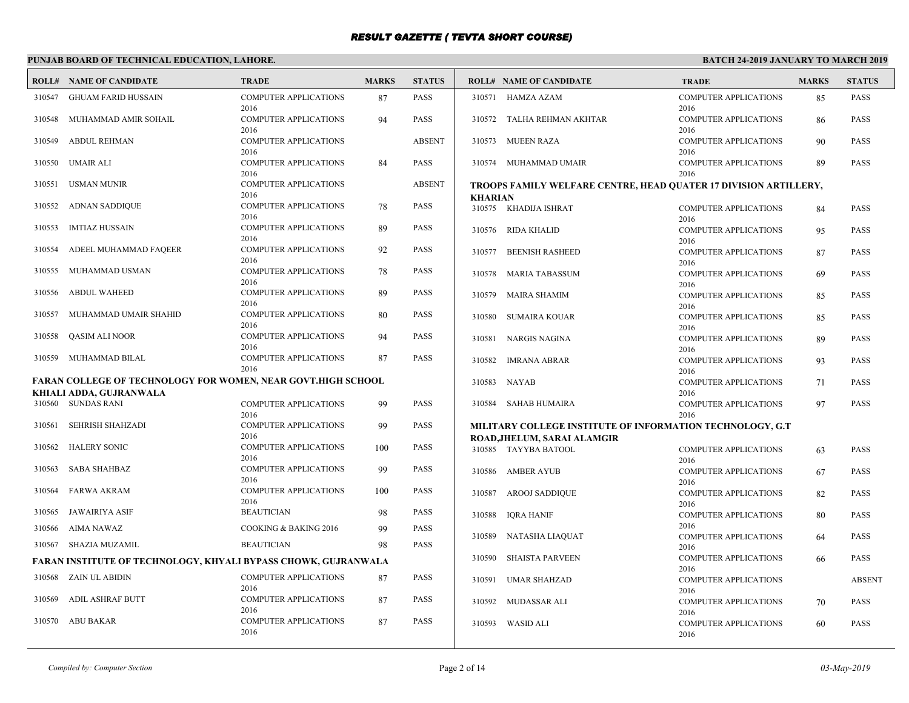# **PUNJAB BOARD OF TECHNICAL EDUCATION, LAHORE.**

|        | <b>ROLL# NAME OF CANDIDATE</b>                                                                 | <b>TRADE</b>                         | <b>MARKS</b> | <b>STATUS</b> |                | <b>ROLL# NAME OF CANDIDATE</b>                                   | <b>TRADE</b>                                 | <b>MARKS</b> | <b>STATUS</b> |
|--------|------------------------------------------------------------------------------------------------|--------------------------------------|--------------|---------------|----------------|------------------------------------------------------------------|----------------------------------------------|--------------|---------------|
| 310547 | <b>GHUAM FARID HUSSAIN</b>                                                                     | <b>COMPUTER APPLICATIONS</b><br>2016 | 87           | PASS          |                | 310571 HAMZA AZAM                                                | <b>COMPUTER APPLICATIONS</b><br>2016         | 85           | PASS          |
| 310548 | MUHAMMAD AMIR SOHAIL                                                                           | <b>COMPUTER APPLICATIONS</b><br>2016 | 94           | <b>PASS</b>   |                | 310572 TALHA REHMAN AKHTAR                                       | <b>COMPUTER APPLICATIONS</b><br>2016         | 86           | <b>PASS</b>   |
| 310549 | <b>ABDUL REHMAN</b>                                                                            | <b>COMPUTER APPLICATIONS</b><br>2016 |              | <b>ABSENT</b> |                | 310573 MUEEN RAZA                                                | <b>COMPUTER APPLICATIONS</b><br>2016         | 90           | PASS          |
| 310550 | UMAIR ALI                                                                                      | <b>COMPUTER APPLICATIONS</b><br>2016 | 84           | <b>PASS</b>   |                | 310574 MUHAMMAD UMAIR                                            | <b>COMPUTER APPLICATIONS</b><br>2016         | 89           | <b>PASS</b>   |
| 310551 | <b>USMAN MUNIR</b>                                                                             | <b>COMPUTER APPLICATIONS</b><br>2016 |              | <b>ABSENT</b> | <b>KHARIAN</b> | TROOPS FAMILY WELFARE CENTRE, HEAD QUATER 17 DIVISION ARTILLERY, |                                              |              |               |
| 310552 | ADNAN SADDIQUE                                                                                 | <b>COMPUTER APPLICATIONS</b><br>2016 | 78           | <b>PASS</b>   |                | 310575 KHADIJA ISHRAT                                            | <b>COMPUTER APPLICATIONS</b><br>2016         | 84           | <b>PASS</b>   |
| 310553 | <b>IMTIAZ HUSSAIN</b>                                                                          | <b>COMPUTER APPLICATIONS</b><br>2016 | 89           | PASS          |                | 310576 RIDA KHALID                                               | <b>COMPUTER APPLICATIONS</b><br>2016         | 95           | <b>PASS</b>   |
| 310554 | ADEEL MUHAMMAD FAQEER                                                                          | <b>COMPUTER APPLICATIONS</b><br>2016 | 92           | <b>PASS</b>   | 310577         | <b>BEENISH RASHEED</b>                                           | <b>COMPUTER APPLICATIONS</b><br>2016         | 87           | <b>PASS</b>   |
| 310555 | MUHAMMAD USMAN                                                                                 | <b>COMPUTER APPLICATIONS</b><br>2016 | 78           | PASS          | 310578         | <b>MARIA TABASSUM</b>                                            | <b>COMPUTER APPLICATIONS</b><br>2016         | 69           | <b>PASS</b>   |
| 310556 | <b>ABDUL WAHEED</b>                                                                            | <b>COMPUTER APPLICATIONS</b><br>2016 | 89           | <b>PASS</b>   |                | 310579 MAIRA SHAMIM                                              | <b>COMPUTER APPLICATIONS</b><br>2016         | 85           | PASS          |
| 310557 | MUHAMMAD UMAIR SHAHID                                                                          | <b>COMPUTER APPLICATIONS</b><br>2016 | 80           | PASS          |                | 310580 SUMAIRA KOUAR                                             | <b>COMPUTER APPLICATIONS</b><br>2016         | 85           | <b>PASS</b>   |
| 310558 | <b>OASIM ALI NOOR</b>                                                                          | <b>COMPUTER APPLICATIONS</b><br>2016 | 94           | <b>PASS</b>   |                | 310581 NARGIS NAGINA                                             | <b>COMPUTER APPLICATIONS</b><br>2016         | 89           | <b>PASS</b>   |
| 310559 | MUHAMMAD BILAL                                                                                 | <b>COMPUTER APPLICATIONS</b><br>2016 | 87           | PASS          | 310582         | <b>IMRANA ABRAR</b>                                              | <b>COMPUTER APPLICATIONS</b><br>2016         | 93           | <b>PASS</b>   |
|        | <b>FARAN COLLEGE OF TECHNOLOGY FOR WOMEN, NEAR GOVT.HIGH SCHOOL</b><br>KHIALI ADDA, GUJRANWALA |                                      |              |               | 310583         | <b>NAYAB</b>                                                     | <b>COMPUTER APPLICATIONS</b><br>2016         | 71           | <b>PASS</b>   |
|        | 310560 SUNDAS RANI                                                                             | <b>COMPUTER APPLICATIONS</b><br>2016 | 99           | <b>PASS</b>   |                | 310584 SAHAB HUMAIRA                                             | <b>COMPUTER APPLICATIONS</b><br>2016         | 97           | <b>PASS</b>   |
| 310561 | SEHRISH SHAHZADI                                                                               | <b>COMPUTER APPLICATIONS</b><br>2016 | 99           | <b>PASS</b>   |                | MILITARY COLLEGE INSTITUTE OF INFORMATION TECHNOLOGY, G.T.       |                                              |              |               |
| 310562 | <b>HALERY SONIC</b>                                                                            | <b>COMPUTER APPLICATIONS</b><br>2016 | 100          | <b>PASS</b>   |                | ROAD, JHELUM, SARAI ALAMGIR<br>310585 TAYYBA BATOOL              | <b>COMPUTER APPLICATIONS</b>                 | 63           | <b>PASS</b>   |
| 310563 | <b>SABA SHAHBAZ</b>                                                                            | <b>COMPUTER APPLICATIONS</b><br>2016 | 99           | PASS          |                | 310586 AMBER AYUB                                                | 2016<br><b>COMPUTER APPLICATIONS</b>         | 67           | <b>PASS</b>   |
| 310564 | FARWA AKRAM                                                                                    | <b>COMPUTER APPLICATIONS</b><br>2016 | 100          | <b>PASS</b>   | 310587         | <b>AROOJ SADDIQUE</b>                                            | 2016<br><b>COMPUTER APPLICATIONS</b>         | 82           | <b>PASS</b>   |
| 310565 | <b>JAWAIRIYA ASIF</b>                                                                          | <b>BEAUTICIAN</b>                    | 98           | <b>PASS</b>   |                | 310588 IORA HANIF                                                | 2016<br><b>COMPUTER APPLICATIONS</b>         | 80           | <b>PASS</b>   |
| 310566 | AIMA NAWAZ                                                                                     | COOKING & BAKING 2016                | 99           | <b>PASS</b>   |                |                                                                  | 2016                                         |              |               |
|        | 310567 SHAZIA MUZAMIL                                                                          | <b>BEAUTICIAN</b>                    | 98           | <b>PASS</b>   |                | 310589 NATASHA LIAQUAT                                           | <b>COMPUTER APPLICATIONS</b><br>2016         | 64           | PASS          |
|        | FARAN INSTITUTE OF TECHNOLOGY, KHYALI BYPASS CHOWK, GUJRANWALA                                 |                                      |              |               | 310590         | <b>SHAISTA PARVEEN</b>                                           | <b>COMPUTER APPLICATIONS</b>                 | 66           | <b>PASS</b>   |
| 310568 | ZAIN UL ABIDIN                                                                                 | <b>COMPUTER APPLICATIONS</b><br>2016 | 87           | <b>PASS</b>   | 310591         | UMAR SHAHZAD                                                     | 2016<br><b>COMPUTER APPLICATIONS</b>         |              | <b>ABSENT</b> |
| 310569 | ADIL ASHRAF BUTT                                                                               | COMPUTER APPLICATIONS<br>2016        | 87           | PASS          | 310592         | MUDASSAR ALI                                                     | 2016<br><b>COMPUTER APPLICATIONS</b><br>2016 | 70           | <b>PASS</b>   |
| 310570 | ABU BAKAR                                                                                      | <b>COMPUTER APPLICATIONS</b><br>2016 | 87           | <b>PASS</b>   | 310593         | <b>WASID ALI</b>                                                 | <b>COMPUTER APPLICATIONS</b><br>2016         | 60           | <b>PASS</b>   |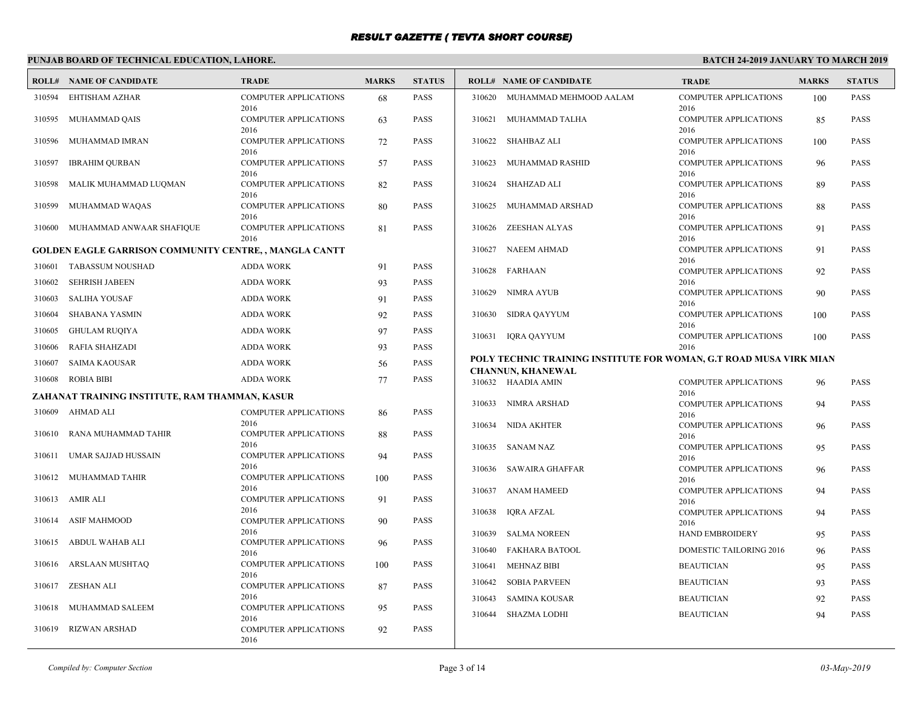# **PUNJAB BOARD OF TECHNICAL EDUCATION, LAHORE.**

|        | <b>ROLL# NAME OF CANDIDATE</b>                                | <b>TRADE</b>                         | <b>MARKS</b> | <b>STATUS</b> |        | <b>ROLL# NAME OF CANDIDATE</b>                                     | <b>TRADE</b>                         | <b>MARKS</b> | <b>STATUS</b> |
|--------|---------------------------------------------------------------|--------------------------------------|--------------|---------------|--------|--------------------------------------------------------------------|--------------------------------------|--------------|---------------|
| 310594 | EHTISHAM AZHAR                                                | <b>COMPUTER APPLICATIONS</b><br>2016 | 68           | <b>PASS</b>   | 310620 | MUHAMMAD MEHMOOD AALAM                                             | <b>COMPUTER APPLICATIONS</b><br>2016 | 100          | <b>PASS</b>   |
| 310595 | MUHAMMAD QAIS                                                 | <b>COMPUTER APPLICATIONS</b><br>2016 | 63           | <b>PASS</b>   | 310621 | MUHAMMAD TALHA                                                     | <b>COMPUTER APPLICATIONS</b><br>2016 | 85           | <b>PASS</b>   |
| 310596 | MUHAMMAD IMRAN                                                | <b>COMPUTER APPLICATIONS</b><br>2016 | 72           | <b>PASS</b>   |        | 310622 SHAHBAZ ALI                                                 | <b>COMPUTER APPLICATIONS</b><br>2016 | 100          | <b>PASS</b>   |
| 310597 | <b>IBRAHIM QURBAN</b>                                         | <b>COMPUTER APPLICATIONS</b><br>2016 | 57           | <b>PASS</b>   | 310623 | MUHAMMAD RASHID                                                    | <b>COMPUTER APPLICATIONS</b><br>2016 | 96           | <b>PASS</b>   |
| 310598 | MALIK MUHAMMAD LUQMAN                                         | <b>COMPUTER APPLICATIONS</b><br>2016 | 82           | <b>PASS</b>   | 310624 | SHAHZAD ALI                                                        | <b>COMPUTER APPLICATIONS</b><br>2016 | 89           | <b>PASS</b>   |
| 310599 | MUHAMMAD WAQAS                                                | <b>COMPUTER APPLICATIONS</b><br>2016 | 80           | <b>PASS</b>   |        | 310625 MUHAMMAD ARSHAD                                             | <b>COMPUTER APPLICATIONS</b><br>2016 | 88           | <b>PASS</b>   |
|        | 310600 MUHAMMAD ANWAAR SHAFIQUE                               | <b>COMPUTER APPLICATIONS</b><br>2016 | 81           | <b>PASS</b>   | 310626 | ZEESHAN ALYAS                                                      | <b>COMPUTER APPLICATIONS</b><br>2016 | 91           | <b>PASS</b>   |
|        | <b>GOLDEN EAGLE GARRISON COMMUNITY CENTRE, , MANGLA CANTT</b> |                                      |              |               | 310627 | <b>NAEEM AHMAD</b>                                                 | <b>COMPUTER APPLICATIONS</b>         | 91           | <b>PASS</b>   |
| 310601 | <b>TABASSUM NOUSHAD</b>                                       | <b>ADDA WORK</b>                     | 91           | <b>PASS</b>   | 310628 | FARHAAN                                                            | 2016<br><b>COMPUTER APPLICATIONS</b> | 92           | <b>PASS</b>   |
| 310602 | <b>SEHRISH JABEEN</b>                                         | <b>ADDA WORK</b>                     | 93           | <b>PASS</b>   |        |                                                                    | 2016                                 |              |               |
| 310603 | <b>SALIHA YOUSAF</b>                                          | <b>ADDA WORK</b>                     | 91           | <b>PASS</b>   | 310629 | <b>NIMRA AYUB</b>                                                  | <b>COMPUTER APPLICATIONS</b><br>2016 | 90           | <b>PASS</b>   |
| 310604 | <b>SHABANA YASMIN</b>                                         | <b>ADDA WORK</b>                     | 92           | <b>PASS</b>   | 310630 | SIDRA QAYYUM                                                       | <b>COMPUTER APPLICATIONS</b>         | 100          | <b>PASS</b>   |
| 310605 | <b>GHULAM RUQIYA</b>                                          | <b>ADDA WORK</b>                     | 97           | <b>PASS</b>   |        | 310631 IQRA QAYYUM                                                 | 2016<br><b>COMPUTER APPLICATIONS</b> | 100          | <b>PASS</b>   |
| 310606 | RAFIA SHAHZADI                                                | <b>ADDA WORK</b>                     | 93           | <b>PASS</b>   |        |                                                                    | 2016                                 |              |               |
| 310607 | SAIMA KAOUSAR                                                 | <b>ADDA WORK</b>                     | 56           | <b>PASS</b>   |        | POLY TECHNIC TRAINING INSTITUTE FOR WOMAN, G.T ROAD MUSA VIRK MIAN |                                      |              |               |
| 310608 | <b>ROBIA BIBI</b>                                             | <b>ADDA WORK</b>                     | 77           | <b>PASS</b>   |        | <b>CHANNUN, KHANEWAL</b><br>310632 HAADIA AMIN                     | <b>COMPUTER APPLICATIONS</b>         | 96           | <b>PASS</b>   |
|        | ZAHANAT TRAINING INSTITUTE, RAM THAMMAN, KASUR                |                                      |              |               |        |                                                                    | 2016                                 |              |               |
| 310609 | AHMAD ALI                                                     | <b>COMPUTER APPLICATIONS</b>         | 86           | <b>PASS</b>   |        | 310633 NIMRA ARSHAD                                                | <b>COMPUTER APPLICATIONS</b><br>2016 | 94           | <b>PASS</b>   |
|        |                                                               | 2016                                 |              |               | 310634 | NIDA AKHTER                                                        | <b>COMPUTER APPLICATIONS</b>         | 96           | <b>PASS</b>   |
| 310610 | RANA MUHAMMAD TAHIR                                           | <b>COMPUTER APPLICATIONS</b><br>2016 | 88           | <b>PASS</b>   |        | 310635 SANAM NAZ                                                   | 2016<br><b>COMPUTER APPLICATIONS</b> | 95           | <b>PASS</b>   |
| 310611 | UMAR SAJJAD HUSSAIN                                           | <b>COMPUTER APPLICATIONS</b>         | 94           | <b>PASS</b>   |        |                                                                    | 2016                                 |              |               |
|        | 310612 MUHAMMAD TAHIR                                         | 2016<br><b>COMPUTER APPLICATIONS</b> | 100          | <b>PASS</b>   | 310636 | SAWAIRA GHAFFAR                                                    | <b>COMPUTER APPLICATIONS</b><br>2016 | 96           | <b>PASS</b>   |
| 310613 | AMIR ALI                                                      | 2016<br><b>COMPUTER APPLICATIONS</b> | 91           | <b>PASS</b>   | 310637 | <b>ANAM HAMEED</b>                                                 | <b>COMPUTER APPLICATIONS</b><br>2016 | 94           | <b>PASS</b>   |
| 310614 | <b>ASIF MAHMOOD</b>                                           | 2016<br><b>COMPUTER APPLICATIONS</b> | 90           | <b>PASS</b>   | 310638 | IQRA AFZAL                                                         | <b>COMPUTER APPLICATIONS</b><br>2016 | 94           | <b>PASS</b>   |
|        |                                                               | 2016                                 |              |               | 310639 | <b>SALMA NOREEN</b>                                                | <b>HAND EMBROIDERY</b>               | 95           | <b>PASS</b>   |
| 310615 | ABDUL WAHAB ALI                                               | <b>COMPUTER APPLICATIONS</b><br>2016 | 96           | <b>PASS</b>   | 310640 | <b>FAKHARA BATOOL</b>                                              | DOMESTIC TAILORING 2016              | 96           | <b>PASS</b>   |
| 310616 | ARSLAAN MUSHTAQ                                               | COMPUTER APPLICATIONS                | 100          | <b>PASS</b>   | 310641 | <b>MEHNAZ BIBI</b>                                                 | <b>BEAUTICIAN</b>                    | 95           | <b>PASS</b>   |
| 310617 | ZESHAN ALI                                                    | 2016<br><b>COMPUTER APPLICATIONS</b> | 87           | <b>PASS</b>   | 310642 | <b>SOBIA PARVEEN</b>                                               | <b>BEAUTICIAN</b>                    | 93           | <b>PASS</b>   |
|        |                                                               | 2016                                 |              |               | 310643 | <b>SAMINA KOUSAR</b>                                               | <b>BEAUTICIAN</b>                    | 92           | <b>PASS</b>   |
| 310618 | MUHAMMAD SALEEM                                               | <b>COMPUTER APPLICATIONS</b><br>2016 | 95           | <b>PASS</b>   | 310644 | <b>SHAZMA LODHI</b>                                                | <b>BEAUTICIAN</b>                    | 94           | <b>PASS</b>   |
| 310619 | <b>RIZWAN ARSHAD</b>                                          | COMPUTER APPLICATIONS<br>2016        | 92           | <b>PASS</b>   |        |                                                                    |                                      |              |               |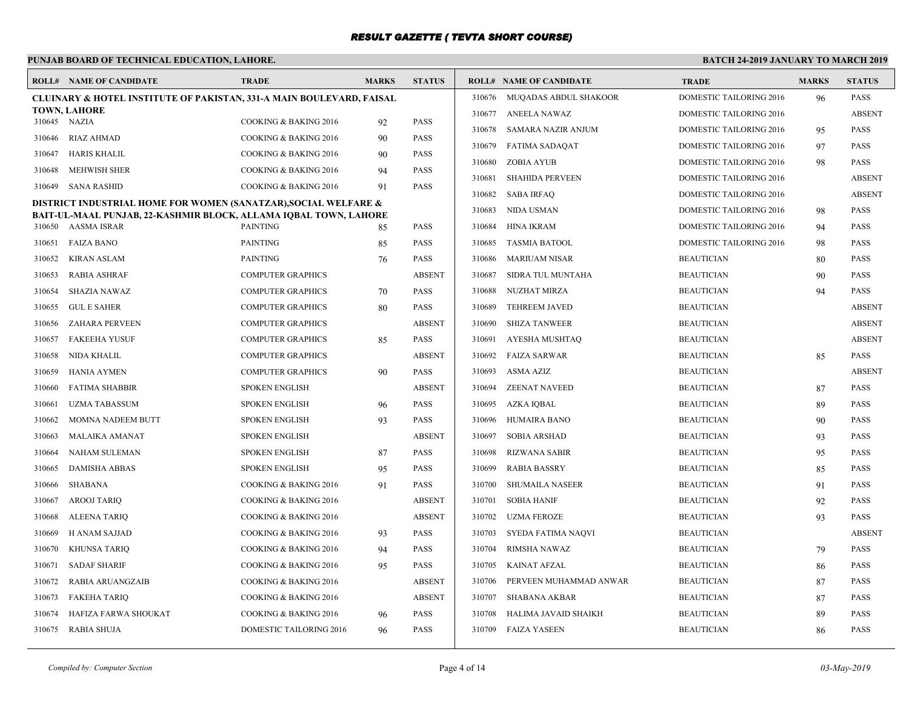# **PUNJAB BOARD OF TECHNICAL EDUCATION, LAHORE.**

|              | <b>ROLL# NAME OF CANDIDATE</b>                                                                                                      | <b>TRADE</b>             | <b>MARKS</b> | <b>STATUS</b> |        | <b>ROLL# NAME OF CANDIDATE</b> | <b>TRADE</b>                   | <b>MARKS</b> | <b>STATUS</b> |
|--------------|-------------------------------------------------------------------------------------------------------------------------------------|--------------------------|--------------|---------------|--------|--------------------------------|--------------------------------|--------------|---------------|
|              | <b>CLUINARY &amp; HOTEL INSTITUTE OF PAKISTAN, 331-A MAIN BOULEVARD, FAISAL</b>                                                     |                          |              |               |        | 310676 MUQADAS ABDUL SHAKOOR   | DOMESTIC TAILORING 2016        | 96           | <b>PASS</b>   |
| 310645 NAZIA | <b>TOWN, LAHORE</b>                                                                                                                 |                          |              | <b>PASS</b>   |        | 310677 ANEELA NAWAZ            | DOMESTIC TAILORING 2016        |              | <b>ABSENT</b> |
|              |                                                                                                                                     | COOKING & BAKING 2016    | 92           |               | 310678 | SAMARA NAZIR ANJUM             | DOMESTIC TAILORING 2016        | 95           | <b>PASS</b>   |
| 310646       | RIAZ AHMAD                                                                                                                          | COOKING & BAKING 2016    | 90           | <b>PASS</b>   | 310679 | FATIMA SADAQAT                 | DOMESTIC TAILORING 2016        | 97           | <b>PASS</b>   |
| 310647       | HARIS KHALIL                                                                                                                        | COOKING & BAKING 2016    | 90           | <b>PASS</b>   | 310680 | ZOBIA AYUB                     | DOMESTIC TAILORING 2016        | 98           | <b>PASS</b>   |
| 310648       | <b>MEHWISH SHER</b>                                                                                                                 | COOKING & BAKING 2016    | 94           | <b>PASS</b>   | 310681 | <b>SHAHIDA PERVEEN</b>         | DOMESTIC TAILORING 2016        |              | <b>ABSENT</b> |
| 310649       | SANA RASHID                                                                                                                         | COOKING & BAKING 2016    | 91           | <b>PASS</b>   | 310682 | SABA IRFAQ                     | DOMESTIC TAILORING 2016        |              | <b>ABSENT</b> |
|              | DISTRICT INDUSTRIAL HOME FOR WOMEN (SANATZAR), SOCIAL WELFARE &<br>BAIT-UL-MAAL PUNJAB, 22-KASHMIR BLOCK, ALLAMA IQBAL TOWN, LAHORE |                          |              |               | 310683 | NIDA USMAN                     | DOMESTIC TAILORING 2016        | 98           | <b>PASS</b>   |
|              | 310650 AASMA ISRAR                                                                                                                  | <b>PAINTING</b>          | 85           | <b>PASS</b>   | 310684 | HINA IKRAM                     | DOMESTIC TAILORING 2016        | 94           | <b>PASS</b>   |
| 310651       | <b>FAIZA BANO</b>                                                                                                                   | <b>PAINTING</b>          | 85           | <b>PASS</b>   | 310685 | <b>TASMIA BATOOL</b>           | <b>DOMESTIC TAILORING 2016</b> | 98           | <b>PASS</b>   |
| 310652       | KIRAN ASLAM                                                                                                                         | <b>PAINTING</b>          | 76           | <b>PASS</b>   | 310686 | <b>MARIUAM NISAR</b>           | <b>BEAUTICIAN</b>              | 80           | PASS          |
| 310653       | <b>RABIA ASHRAF</b>                                                                                                                 | <b>COMPUTER GRAPHICS</b> |              | <b>ABSENT</b> | 310687 | SIDRA TUL MUNTAHA              | <b>BEAUTICIAN</b>              | 90           | <b>PASS</b>   |
| 310654       | SHAZIA NAWAZ                                                                                                                        | <b>COMPUTER GRAPHICS</b> | 70           | <b>PASS</b>   | 310688 | NUZHAT MIRZA                   | <b>BEAUTICIAN</b>              | 94           | <b>PASS</b>   |
| 310655       | <b>GUL E SAHER</b>                                                                                                                  | <b>COMPUTER GRAPHICS</b> | 80           | <b>PASS</b>   | 310689 | <b>TEHREEM JAVED</b>           | <b>BEAUTICIAN</b>              |              | <b>ABSENT</b> |
| 310656       | ZAHARA PERVEEN                                                                                                                      | <b>COMPUTER GRAPHICS</b> |              | <b>ABSENT</b> | 310690 | <b>SHIZA TANWEER</b>           | <b>BEAUTICIAN</b>              |              | <b>ABSENT</b> |
| 310657       | <b>FAKEEHA YUSUF</b>                                                                                                                | <b>COMPUTER GRAPHICS</b> | 85           | <b>PASS</b>   | 310691 | AYESHA MUSHTAQ                 | <b>BEAUTICIAN</b>              |              | <b>ABSENT</b> |
| 310658       | NIDA KHALIL                                                                                                                         | <b>COMPUTER GRAPHICS</b> |              | <b>ABSENT</b> | 310692 | FAIZA SARWAR                   | <b>BEAUTICIAN</b>              | 85           | <b>PASS</b>   |
| 310659       | <b>HANIA AYMEN</b>                                                                                                                  | <b>COMPUTER GRAPHICS</b> | 90           | <b>PASS</b>   | 310693 | ASMA AZIZ                      | <b>BEAUTICIAN</b>              |              | <b>ABSENT</b> |
| 310660       | <b>FATIMA SHABBIR</b>                                                                                                               | SPOKEN ENGLISH           |              | <b>ABSENT</b> | 310694 | <b>ZEENAT NAVEED</b>           | <b>BEAUTICIAN</b>              | 87           | <b>PASS</b>   |
| 310661       | <b>UZMA TABASSUM</b>                                                                                                                | <b>SPOKEN ENGLISH</b>    | 96           | <b>PASS</b>   | 310695 | AZKA IOBAL                     | <b>BEAUTICIAN</b>              | 89           | <b>PASS</b>   |
| 310662       | MOMNA NADEEM BUTT                                                                                                                   | <b>SPOKEN ENGLISH</b>    | 93           | <b>PASS</b>   | 310696 | HUMAIRA BANO                   | <b>BEAUTICIAN</b>              | 90           | <b>PASS</b>   |
| 310663       | MALAIKA AMANAT                                                                                                                      | <b>SPOKEN ENGLISH</b>    |              | <b>ABSENT</b> | 310697 | SOBIA ARSHAD                   | <b>BEAUTICIAN</b>              | 93           | <b>PASS</b>   |
| 310664       | NAHAM SULEMAN                                                                                                                       | <b>SPOKEN ENGLISH</b>    | 87           | <b>PASS</b>   | 310698 | RIZWANA SABIR                  | <b>BEAUTICIAN</b>              | 95           | <b>PASS</b>   |
| 310665       | <b>DAMISHA ABBAS</b>                                                                                                                | SPOKEN ENGLISH           | 95           | <b>PASS</b>   | 310699 | RABIA BASSRY                   | <b>BEAUTICIAN</b>              | 85           | <b>PASS</b>   |
| 310666       | SHABANA                                                                                                                             | COOKING & BAKING 2016    | 91           | <b>PASS</b>   | 310700 | SHUMAILA NASEER                | <b>BEAUTICIAN</b>              | 91           | <b>PASS</b>   |
| 310667       | AROOJ TARIQ                                                                                                                         | COOKING & BAKING 2016    |              | <b>ABSENT</b> | 310701 | <b>SOBIA HANIF</b>             | <b>BEAUTICIAN</b>              | 92           | PASS          |
| 310668       | <b>ALEENA TARIQ</b>                                                                                                                 | COOKING & BAKING 2016    |              | <b>ABSENT</b> | 310702 | UZMA FEROZE                    | <b>BEAUTICIAN</b>              | 93           | <b>PASS</b>   |
| 310669       | H ANAM SAJJAD                                                                                                                       | COOKING & BAKING 2016    | 93           | PASS          | 310703 | SYEDA FATIMA NAQVI             | <b>BEAUTICIAN</b>              |              | <b>ABSENT</b> |
| 310670       | KHUNSA TARIQ                                                                                                                        | COOKING & BAKING 2016    | 94           | <b>PASS</b>   | 310704 | <b>RIMSHA NAWAZ</b>            | <b>BEAUTICIAN</b>              | 79           | <b>PASS</b>   |
| 310671       | <b>SADAF SHARIF</b>                                                                                                                 | COOKING & BAKING 2016    | 95           | <b>PASS</b>   | 310705 | KAINAT AFZAL                   | <b>BEAUTICIAN</b>              | 86           | <b>PASS</b>   |
| 310672       | RABIA ARUANGZAIB                                                                                                                    | COOKING & BAKING 2016    |              | <b>ABSENT</b> | 310706 | PERVEEN MUHAMMAD ANWAR         | <b>BEAUTICIAN</b>              | 87           | <b>PASS</b>   |
| 310673       | FAKEHA TARIQ                                                                                                                        | COOKING & BAKING 2016    |              | <b>ABSENT</b> | 310707 | SHABANA AKBAR                  | <b>BEAUTICIAN</b>              | 87           | <b>PASS</b>   |
| 310674       | HAFIZA FARWA SHOUKAT                                                                                                                | COOKING & BAKING 2016    | 96           | <b>PASS</b>   | 310708 | HALIMA JAVAID SHAIKH           | <b>BEAUTICIAN</b>              | 89           | PASS          |
|              | 310675 RABIA SHUJA                                                                                                                  | DOMESTIC TAILORING 2016  | 96           | <b>PASS</b>   |        | 310709 FAIZA YASEEN            | <b>BEAUTICIAN</b>              | 86           | <b>PASS</b>   |
|              |                                                                                                                                     |                          |              |               |        |                                |                                |              |               |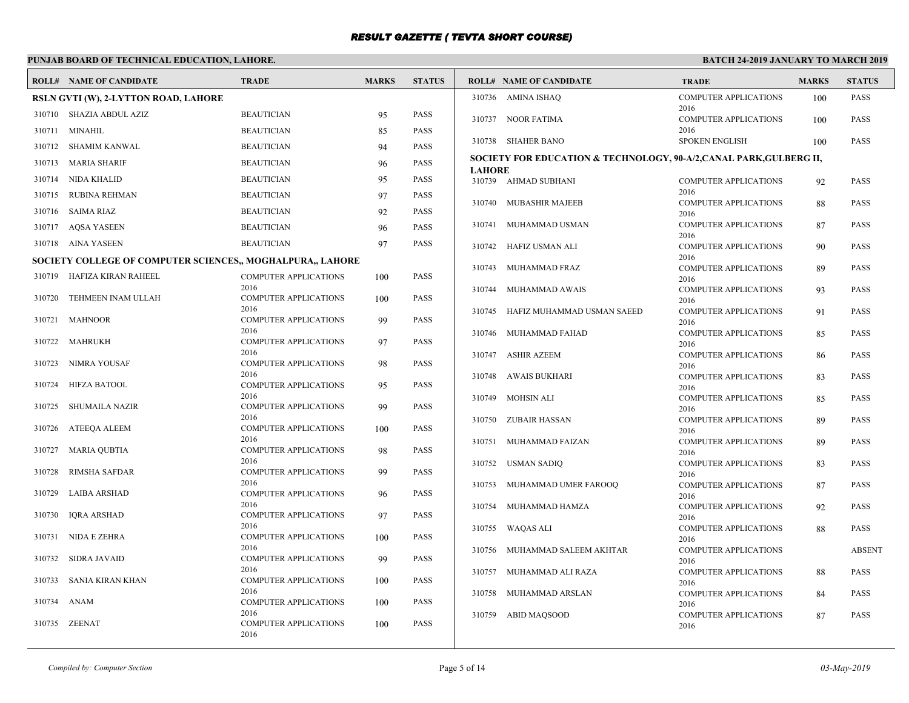# **PUNJAB BOARD OF TECHNICAL EDUCATION, LAHORE.**

|        | <b>ROLL# NAME OF CANDIDATE</b>                             | <b>TRADE</b>                         | <b>MARKS</b> | <b>STATUS</b> |               | <b>ROLL# NAME OF CANDIDATE</b>                                      | <b>TRADE</b>                         | <b>MARKS</b> | <b>STATUS</b> |
|--------|------------------------------------------------------------|--------------------------------------|--------------|---------------|---------------|---------------------------------------------------------------------|--------------------------------------|--------------|---------------|
|        | RSLN GVTI (W), 2-LYTTON ROAD, LAHORE                       |                                      |              |               |               | 310736 AMINA ISHAQ                                                  | <b>COMPUTER APPLICATIONS</b>         | 100          | PASS          |
|        | 310710 SHAZIA ABDUL AZIZ                                   | <b>BEAUTICIAN</b>                    | 95           | <b>PASS</b>   |               | 310737 NOOR FATIMA                                                  | 2016<br><b>COMPUTER APPLICATIONS</b> | 100          | <b>PASS</b>   |
|        | 310711 MINAHIL                                             | <b>BEAUTICIAN</b>                    | 85           | <b>PASS</b>   |               |                                                                     | 2016                                 |              |               |
| 310712 | SHAMIM KANWAL                                              | <b>BEAUTICIAN</b>                    | 94           | <b>PASS</b>   |               | 310738 SHAHER BANO                                                  | <b>SPOKEN ENGLISH</b>                | 100          | <b>PASS</b>   |
| 310713 | MARIA SHARIF                                               | <b>BEAUTICIAN</b>                    | 96           | <b>PASS</b>   | <b>LAHORE</b> | SOCIETY FOR EDUCATION & TECHNOLOGY, 90-A/2, CANAL PARK, GULBERG II, |                                      |              |               |
|        | 310714 NIDA KHALID                                         | <b>BEAUTICIAN</b>                    | 95           | <b>PASS</b>   |               | 310739 AHMAD SUBHANI                                                | <b>COMPUTER APPLICATIONS</b>         | 92           | <b>PASS</b>   |
| 310715 | RUBINA REHMAN                                              | <b>BEAUTICIAN</b>                    | 97           | PASS          |               |                                                                     | 2016                                 |              |               |
|        | 310716 SAIMA RIAZ                                          | <b>BEAUTICIAN</b>                    | 92           | PASS          |               | 310740 MUBASHIR MAJEEB                                              | <b>COMPUTER APPLICATIONS</b><br>2016 | 88           | <b>PASS</b>   |
|        | 310717 AQSA YASEEN                                         | <b>BEAUTICIAN</b>                    | 96           | <b>PASS</b>   | 310741        | MUHAMMAD USMAN                                                      | <b>COMPUTER APPLICATIONS</b>         | 87           | <b>PASS</b>   |
|        | 310718 AINA YASEEN                                         | <b>BEAUTICIAN</b>                    | 97           | <b>PASS</b>   | 310742        | HAFIZ USMAN ALI                                                     | 2016<br><b>COMPUTER APPLICATIONS</b> | 90           | <b>PASS</b>   |
|        | SOCIETY COLLEGE OF COMPUTER SCIENCES,, MOGHALPURA,, LAHORE |                                      |              |               |               |                                                                     | 2016                                 |              |               |
|        | 310719 HAFIZA KIRAN RAHEEL                                 | <b>COMPUTER APPLICATIONS</b>         | 100          | <b>PASS</b>   | 310743        | MUHAMMAD FRAZ                                                       | <b>COMPUTER APPLICATIONS</b><br>2016 | 89           | <b>PASS</b>   |
|        |                                                            | 2016                                 |              |               | 310744        | MUHAMMAD AWAIS                                                      | <b>COMPUTER APPLICATIONS</b>         | 93           | <b>PASS</b>   |
| 310720 | TEHMEEN INAM ULLAH                                         | <b>COMPUTER APPLICATIONS</b><br>2016 | 100          | <b>PASS</b>   | 310745        | HAFIZ MUHAMMAD USMAN SAEED                                          | 2016<br><b>COMPUTER APPLICATIONS</b> | 91           | <b>PASS</b>   |
| 310721 | MAHNOOR                                                    | <b>COMPUTER APPLICATIONS</b>         | 99           | <b>PASS</b>   |               |                                                                     | 2016                                 |              |               |
| 310722 | MAHRUKH                                                    | 2016<br><b>COMPUTER APPLICATIONS</b> | 97           | <b>PASS</b>   |               | 310746 MUHAMMAD FAHAD                                               | <b>COMPUTER APPLICATIONS</b>         | 85           | <b>PASS</b>   |
|        |                                                            | 2016                                 |              |               |               | 310747 ASHIR AZEEM                                                  | 2016<br><b>COMPUTER APPLICATIONS</b> | 86           | PASS          |
| 310723 | NIMRA YOUSAF                                               | <b>COMPUTER APPLICATIONS</b><br>2016 | 98           | PASS          |               |                                                                     | 2016                                 |              |               |
| 310724 | HIFZA BATOOL                                               | COMPUTER APPLICATIONS                | 95           | <b>PASS</b>   |               | 310748 AWAIS BUKHARI                                                | <b>COMPUTER APPLICATIONS</b><br>2016 | 83           | PASS          |
| 310725 | <b>SHUMAILA NAZIR</b>                                      | 2016<br><b>COMPUTER APPLICATIONS</b> | 99           | <b>PASS</b>   |               | 310749 MOHSIN ALI                                                   | <b>COMPUTER APPLICATIONS</b>         | 85           | <b>PASS</b>   |
|        |                                                            | 2016                                 |              |               |               | 310750 ZUBAIR HASSAN                                                | 2016<br><b>COMPUTER APPLICATIONS</b> | 89           | <b>PASS</b>   |
| 310726 | ATEEQA ALEEM                                               | COMPUTER APPLICATIONS                | 100          | <b>PASS</b>   |               |                                                                     | 2016                                 |              |               |
| 310727 | MARIA QUBTIA                                               | 2016<br><b>COMPUTER APPLICATIONS</b> | 98           | <b>PASS</b>   |               | 310751 MUHAMMAD FAIZAN                                              | <b>COMPUTER APPLICATIONS</b><br>2016 | 89           | <b>PASS</b>   |
|        |                                                            | 2016                                 |              |               |               | 310752 USMAN SADIQ                                                  | <b>COMPUTER APPLICATIONS</b>         | 83           | <b>PASS</b>   |
| 310728 | <b>RIMSHA SAFDAR</b>                                       | <b>COMPUTER APPLICATIONS</b><br>2016 | 99           | <b>PASS</b>   |               | 310753 MUHAMMAD UMER FAROOQ                                         | 2016<br><b>COMPUTER APPLICATIONS</b> | 87           | PASS          |
| 310729 | LAIBA ARSHAD                                               | <b>COMPUTER APPLICATIONS</b>         | 96           | PASS          |               |                                                                     | 2016                                 |              |               |
| 310730 | IQRA ARSHAD                                                | 2016<br><b>COMPUTER APPLICATIONS</b> | 97           | <b>PASS</b>   | 310754        | MUHAMMAD HAMZA                                                      | <b>COMPUTER APPLICATIONS</b><br>2016 | 92           | <b>PASS</b>   |
|        |                                                            | 2016                                 |              |               |               | 310755 WAQAS ALI                                                    | <b>COMPUTER APPLICATIONS</b>         | 88           | <b>PASS</b>   |
| 310731 | NIDA E ZEHRA                                               | <b>COMPUTER APPLICATIONS</b><br>2016 | 100          | <b>PASS</b>   |               |                                                                     | 2016                                 |              |               |
| 310732 | <b>SIDRA JAVAID</b>                                        | COMPUTER APPLICATIONS                | 99           | PASS          | 310756        | MUHAMMAD SALEEM AKHTAR                                              | <b>COMPUTER APPLICATIONS</b><br>2016 |              | <b>ABSENT</b> |
|        |                                                            | 2016                                 |              |               | 310757        | MUHAMMAD ALI RAZA                                                   | <b>COMPUTER APPLICATIONS</b>         | 88           | <b>PASS</b>   |
| 310733 | SANIA KIRAN KHAN                                           | <b>COMPUTER APPLICATIONS</b><br>2016 | 100          | <b>PASS</b>   | 310758        | MUHAMMAD ARSLAN                                                     | 2016<br><b>COMPUTER APPLICATIONS</b> | 84           | <b>PASS</b>   |
| 310734 | ANAM                                                       | COMPUTER APPLICATIONS                | 100          | PASS          |               |                                                                     | 2016                                 |              |               |
| 310735 | ZEENAT                                                     | 2016<br><b>COMPUTER APPLICATIONS</b> | 100          | <b>PASS</b>   |               | 310759 ABID MAQSOOD                                                 | COMPUTER APPLICATIONS<br>2016        | 87           | PASS          |
|        |                                                            | 2016                                 |              |               |               |                                                                     |                                      |              |               |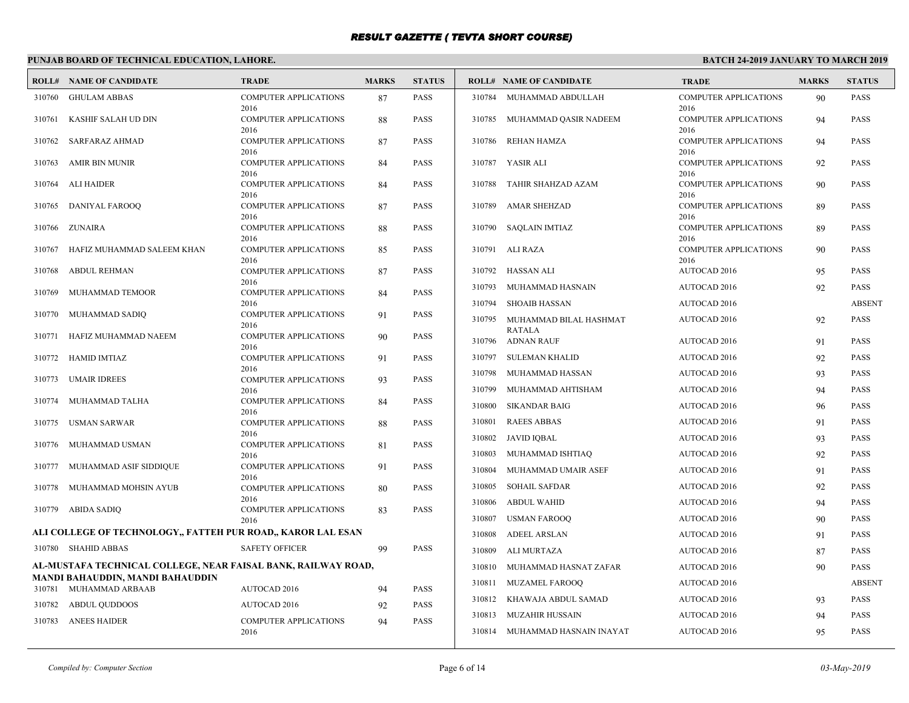# **PUNJAB BOARD OF TECHNICAL EDUCATION, LAHORE.**

|        | <b>ROLL# NAME OF CANDIDATE</b>                                | <b>TRADE</b>                         | <b>MARKS</b> | <b>STATUS</b> |        | <b>ROLL# NAME OF CANDIDATE</b>          | <b>TRADE</b>                         | <b>MARKS</b> | <b>STATUS</b> |
|--------|---------------------------------------------------------------|--------------------------------------|--------------|---------------|--------|-----------------------------------------|--------------------------------------|--------------|---------------|
| 310760 | <b>GHULAM ABBAS</b>                                           | <b>COMPUTER APPLICATIONS</b><br>2016 | 87           | <b>PASS</b>   |        | 310784 MUHAMMAD ABDULLAH                | <b>COMPUTER APPLICATIONS</b><br>2016 | 90           | <b>PASS</b>   |
| 310761 | KASHIF SALAH UD DIN                                           | <b>COMPUTER APPLICATIONS</b><br>2016 | 88           | <b>PASS</b>   | 310785 | MUHAMMAD QASIR NADEEM                   | <b>COMPUTER APPLICATIONS</b><br>2016 | 94           | <b>PASS</b>   |
| 310762 | SARFARAZ AHMAD                                                | <b>COMPUTER APPLICATIONS</b><br>2016 | 87           | <b>PASS</b>   | 310786 | REHAN HAMZA                             | <b>COMPUTER APPLICATIONS</b><br>2016 | 94           | <b>PASS</b>   |
| 310763 | <b>AMIR BIN MUNIR</b>                                         | <b>COMPUTER APPLICATIONS</b><br>2016 | 84           | <b>PASS</b>   |        | 310787 YASIR ALI                        | <b>COMPUTER APPLICATIONS</b><br>2016 | 92           | <b>PASS</b>   |
| 310764 | ALI HAIDER                                                    | <b>COMPUTER APPLICATIONS</b><br>2016 | 84           | <b>PASS</b>   | 310788 | TAHIR SHAHZAD AZAM                      | <b>COMPUTER APPLICATIONS</b><br>2016 | 90           | <b>PASS</b>   |
| 310765 | <b>DANIYAL FAROOQ</b>                                         | <b>COMPUTER APPLICATIONS</b><br>2016 | 87           | PASS          | 310789 | AMAR SHEHZAD                            | <b>COMPUTER APPLICATIONS</b><br>2016 | 89           | <b>PASS</b>   |
| 310766 | ZUNAIRA                                                       | <b>COMPUTER APPLICATIONS</b><br>2016 | 88           | <b>PASS</b>   |        | 310790 SAQLAIN IMTIAZ                   | <b>COMPUTER APPLICATIONS</b><br>2016 | 89           | <b>PASS</b>   |
| 310767 | HAFIZ MUHAMMAD SALEEM KHAN                                    | <b>COMPUTER APPLICATIONS</b><br>2016 | 85           | <b>PASS</b>   |        | 310791 ALI RAZA                         | <b>COMPUTER APPLICATIONS</b><br>2016 | 90           | <b>PASS</b>   |
| 310768 | <b>ABDUL REHMAN</b>                                           | <b>COMPUTER APPLICATIONS</b>         | 87           | <b>PASS</b>   |        | 310792 HASSAN ALI                       | AUTOCAD 2016                         | 95           | <b>PASS</b>   |
| 310769 | MUHAMMAD TEMOOR                                               | 2016<br>COMPUTER APPLICATIONS        | 84           | <b>PASS</b>   | 310793 | MUHAMMAD HASNAIN                        | <b>AUTOCAD 2016</b>                  | 92           | <b>PASS</b>   |
|        |                                                               | 2016                                 |              |               | 310794 | <b>SHOAIB HASSAN</b>                    | AUTOCAD 2016                         |              | <b>ABSENT</b> |
| 310770 | MUHAMMAD SADIQ                                                | <b>COMPUTER APPLICATIONS</b><br>2016 | 91           | <b>PASS</b>   | 310795 | MUHAMMAD BILAL HASHMAT<br><b>RATALA</b> | <b>AUTOCAD 2016</b>                  | 92           | PASS          |
| 310771 | HAFIZ MUHAMMAD NAEEM                                          | COMPUTER APPLICATIONS<br>2016        | 90           | <b>PASS</b>   |        | 310796 ADNAN RAUF                       | AUTOCAD 2016                         | 91           | <b>PASS</b>   |
| 310772 | <b>HAMID IMTIAZ</b>                                           | <b>COMPUTER APPLICATIONS</b>         | 91           | <b>PASS</b>   | 310797 | <b>SULEMAN KHALID</b>                   | AUTOCAD 2016                         | 92           | <b>PASS</b>   |
| 310773 | <b>UMAIR IDREES</b>                                           | 2016<br>COMPUTER APPLICATIONS        | 93           | <b>PASS</b>   | 310798 | MUHAMMAD HASSAN                         | AUTOCAD 2016                         | 93           | <b>PASS</b>   |
|        |                                                               | 2016                                 |              |               | 310799 | MUHAMMAD AHTISHAM                       | AUTOCAD 2016                         | 94           | <b>PASS</b>   |
| 310774 | MUHAMMAD TALHA                                                | <b>COMPUTER APPLICATIONS</b><br>2016 | 84           | PASS          | 310800 | SIKANDAR BAIG                           | AUTOCAD 2016                         | 96           | <b>PASS</b>   |
| 310775 | USMAN SARWAR                                                  | COMPUTER APPLICATIONS                | 88           | <b>PASS</b>   | 310801 | <b>RAEES ABBAS</b>                      | AUTOCAD 2016                         | 91           | <b>PASS</b>   |
| 310776 | MUHAMMAD USMAN                                                | 2016<br>COMPUTER APPLICATIONS        | 81           | PASS          | 310802 | JAVID IQBAL                             | AUTOCAD 2016                         | 93           | <b>PASS</b>   |
|        |                                                               | 2016                                 |              |               | 310803 | MUHAMMAD ISHTIAQ                        | AUTOCAD 2016                         | 92           | <b>PASS</b>   |
| 310777 | MUHAMMAD ASIF SIDDIQUE                                        | <b>COMPUTER APPLICATIONS</b><br>2016 | 91           | <b>PASS</b>   | 310804 | MUHAMMAD UMAIR ASEF                     | AUTOCAD 2016                         | 91           | <b>PASS</b>   |
| 310778 | MUHAMMAD MOHSIN AYUB                                          | <b>COMPUTER APPLICATIONS</b>         | 80           | PASS          | 310805 | <b>SOHAIL SAFDAR</b>                    | AUTOCAD 2016                         | 92           | <b>PASS</b>   |
| 310779 | ABIDA SADIQ                                                   | 2016<br><b>COMPUTER APPLICATIONS</b> | 83           | <b>PASS</b>   | 310806 | <b>ABDUL WAHID</b>                      | <b>AUTOCAD 2016</b>                  | 94           | PASS          |
|        |                                                               | 2016                                 |              |               | 310807 | <b>USMAN FAROOQ</b>                     | AUTOCAD 2016                         | 90           | <b>PASS</b>   |
|        | ALI COLLEGE OF TECHNOLOGY,, FATTEH PUR ROAD,, KAROR LAL ESAN  |                                      |              |               | 310808 | <b>ADEEL ARSLAN</b>                     | AUTOCAD 2016                         | 91           | <b>PASS</b>   |
|        | 310780 SHAHID ABBAS                                           | <b>SAFETY OFFICER</b>                | 99           | <b>PASS</b>   | 310809 | ALI MURTAZA                             | AUTOCAD 2016                         | 87           | <b>PASS</b>   |
|        | AL-MUSTAFA TECHNICAL COLLEGE, NEAR FAISAL BANK, RAILWAY ROAD, |                                      |              |               | 310810 | MUHAMMAD HASNAT ZAFAR                   | AUTOCAD 2016                         | 90           | <b>PASS</b>   |
|        | MANDI BAHAUDDIN, MANDI BAHAUDDIN<br>310781 MUHAMMAD ARBAAB    | <b>AUTOCAD 2016</b>                  | 94           | <b>PASS</b>   |        | 310811 MUZAMEL FAROOQ                   | <b>AUTOCAD 2016</b>                  |              | <b>ABSENT</b> |
| 310782 | <b>ABDUL QUDDOOS</b>                                          | AUTOCAD 2016                         | 92           | PASS          |        | 310812 KHAWAJA ABDUL SAMAD              | AUTOCAD 2016                         | 93           | <b>PASS</b>   |
| 310783 | <b>ANEES HAIDER</b>                                           | <b>COMPUTER APPLICATIONS</b>         | 94           | <b>PASS</b>   | 310813 | <b>MUZAHIR HUSSAIN</b>                  | AUTOCAD 2016                         | 94           | <b>PASS</b>   |
|        |                                                               | 2016                                 |              |               |        | 310814 MUHAMMAD HASNAIN INAYAT          | <b>AUTOCAD 2016</b>                  | 95           | <b>PASS</b>   |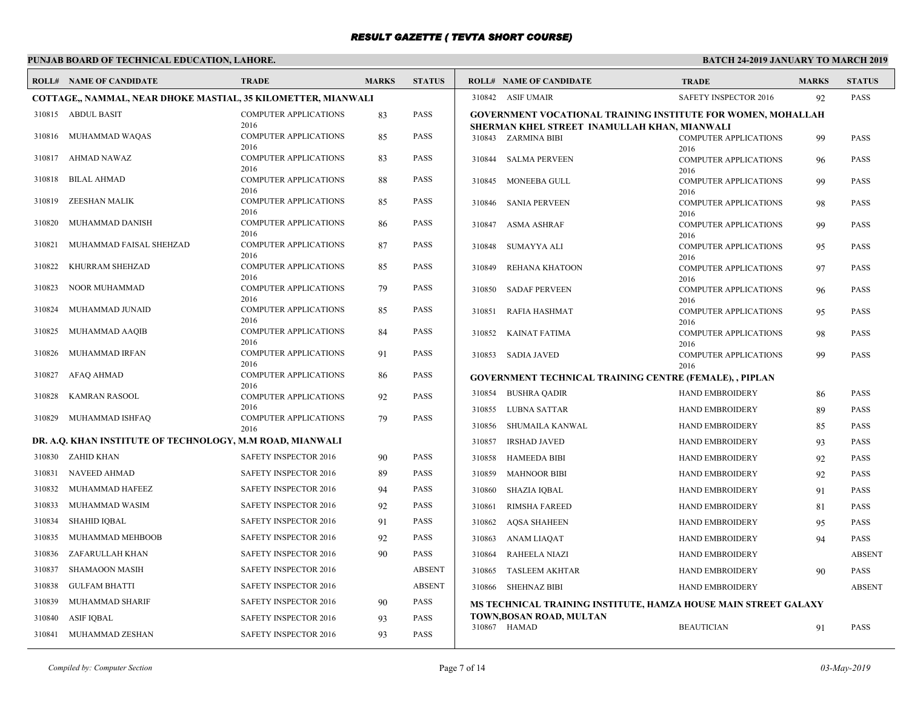# **PUNJAB BOARD OF TECHNICAL EDUCATION, LAHORE.**

|        | <b>ROLL# NAME OF CANDIDATE</b>                                | <b>TRADE</b>                                 | <b>MARKS</b> | <b>STATUS</b> | <b>ROLL# NAME OF CANDIDATE</b>  |                                                                     | <b>TRADE</b>                         | <b>MARKS</b> | <b>STATUS</b> |
|--------|---------------------------------------------------------------|----------------------------------------------|--------------|---------------|---------------------------------|---------------------------------------------------------------------|--------------------------------------|--------------|---------------|
|        | COTTAGE,, NAMMAL, NEAR DHOKE MASTIAL, 35 KILOMETTER, MIANWALI |                                              |              |               | 310842 ASIF UMAIR               |                                                                     | SAFETY INSPECTOR 2016                | 92           | <b>PASS</b>   |
|        | 310815 ABDUL BASIT                                            | <b>COMPUTER APPLICATIONS</b>                 | 83           | <b>PASS</b>   |                                 | <b>GOVERNMENT VOCATIONAL TRAINING INSTITUTE FOR WOMEN, MOHALLAH</b> |                                      |              |               |
|        | 310816 MUHAMMAD WAQAS                                         | 2016<br><b>COMPUTER APPLICATIONS</b><br>2016 | 85           | PASS          | 310843 ZARMINA BIBI             | SHERMAN KHEL STREET INAMULLAH KHAN, MIANWALI                        | <b>COMPUTER APPLICATIONS</b><br>2016 | 99           | <b>PASS</b>   |
|        | 310817 AHMAD NAWAZ                                            | <b>COMPUTER APPLICATIONS</b><br>2016         | 83           | <b>PASS</b>   | 310844 SALMA PERVEEN            |                                                                     | <b>COMPUTER APPLICATIONS</b><br>2016 | 96           | <b>PASS</b>   |
| 310818 | <b>BILAL AHMAD</b>                                            | COMPUTER APPLICATIONS<br>2016                | 88           | <b>PASS</b>   | 310845 MONEEBA GULL             |                                                                     | <b>COMPUTER APPLICATIONS</b><br>2016 | 99           | <b>PASS</b>   |
| 310819 | ZEESHAN MALIK                                                 | <b>COMPUTER APPLICATIONS</b><br>2016         | 85           | <b>PASS</b>   | 310846 SANIA PERVEEN            |                                                                     | <b>COMPUTER APPLICATIONS</b><br>2016 | 98           | <b>PASS</b>   |
| 310820 | MUHAMMAD DANISH                                               | <b>COMPUTER APPLICATIONS</b><br>2016         | 86           | <b>PASS</b>   | 310847<br>ASMA ASHRAF           |                                                                     | <b>COMPUTER APPLICATIONS</b><br>2016 | 99           | <b>PASS</b>   |
| 310821 | MUHAMMAD FAISAL SHEHZAD                                       | <b>COMPUTER APPLICATIONS</b><br>2016         | 87           | PASS          | SUMAYYA ALI<br>310848           |                                                                     | <b>COMPUTER APPLICATIONS</b><br>2016 | 95           | <b>PASS</b>   |
| 310822 | KHURRAM SHEHZAD                                               | <b>COMPUTER APPLICATIONS</b><br>2016         | 85           | <b>PASS</b>   | REHANA KHATOON<br>310849        |                                                                     | <b>COMPUTER APPLICATIONS</b><br>2016 | 97           | <b>PASS</b>   |
| 310823 | NOOR MUHAMMAD                                                 | <b>COMPUTER APPLICATIONS</b><br>2016         | 79           | <b>PASS</b>   | 310850<br><b>SADAF PERVEEN</b>  |                                                                     | <b>COMPUTER APPLICATIONS</b><br>2016 | 96           | <b>PASS</b>   |
| 310824 | MUHAMMAD JUNAID                                               | <b>COMPUTER APPLICATIONS</b><br>2016         | 85           | <b>PASS</b>   | 310851<br>RAFIA HASHMAT         |                                                                     | <b>COMPUTER APPLICATIONS</b><br>2016 | 95           | <b>PASS</b>   |
| 310825 | MUHAMMAD AAQIB                                                | <b>COMPUTER APPLICATIONS</b><br>2016         | 84           | <b>PASS</b>   | KAINAT FATIMA<br>310852         |                                                                     | <b>COMPUTER APPLICATIONS</b><br>2016 | 98           | <b>PASS</b>   |
| 310826 | MUHAMMAD IRFAN                                                | <b>COMPUTER APPLICATIONS</b><br>2016         | 91           | <b>PASS</b>   | 310853 SADIA JAVED              |                                                                     | <b>COMPUTER APPLICATIONS</b><br>2016 | 99           | <b>PASS</b>   |
| 310827 | AFAQ AHMAD                                                    | <b>COMPUTER APPLICATIONS</b><br>2016         | 86           | <b>PASS</b>   |                                 | <b>GOVERNMENT TECHNICAL TRAINING CENTRE (FEMALE), , PIPLAN</b>      |                                      |              |               |
| 310828 | KAMRAN RASOOL                                                 | <b>COMPUTER APPLICATIONS</b>                 | 92           | <b>PASS</b>   | 310854 BUSHRA QADIR             |                                                                     | <b>HAND EMBROIDERY</b>               | 86           | <b>PASS</b>   |
| 310829 | MUHAMMAD ISHFAO                                               | 2016<br><b>COMPUTER APPLICATIONS</b>         | 79           | <b>PASS</b>   | 310855 LUBNA SATTAR             |                                                                     | <b>HAND EMBROIDERY</b>               | 89           | <b>PASS</b>   |
|        |                                                               | 2016                                         |              |               | SHUMAILA KANWAL<br>310856       |                                                                     | <b>HAND EMBROIDERY</b>               | 85           | <b>PASS</b>   |
|        | DR. A.Q. KHAN INSTITUTE OF TECHNOLOGY, M.M ROAD, MIANWALI     |                                              |              |               | 310857<br><b>IRSHAD JAVED</b>   |                                                                     | <b>HAND EMBROIDERY</b>               | 93           | <b>PASS</b>   |
|        | 310830 ZAHID KHAN                                             | SAFETY INSPECTOR 2016                        | 90           | <b>PASS</b>   | 310858<br><b>HAMEEDA BIBI</b>   |                                                                     | <b>HAND EMBROIDERY</b>               | 92           | <b>PASS</b>   |
| 310831 | <b>NAVEED AHMAD</b>                                           | SAFETY INSPECTOR 2016                        | 89           | <b>PASS</b>   | 310859<br><b>MAHNOOR BIBI</b>   |                                                                     | <b>HAND EMBROIDERY</b>               | 92           | <b>PASS</b>   |
| 310832 | MUHAMMAD HAFEEZ                                               | SAFETY INSPECTOR 2016                        | 94           | <b>PASS</b>   | <b>SHAZIA IQBAL</b><br>310860   |                                                                     | HAND EMBROIDERY                      | 91           | <b>PASS</b>   |
| 310833 | MUHAMMAD WASIM                                                | SAFETY INSPECTOR 2016                        | 92           | PASS          | 310861<br><b>RIMSHA FAREED</b>  |                                                                     | <b>HAND EMBROIDERY</b>               | 81           | <b>PASS</b>   |
| 310834 | SHAHID IOBAL                                                  | SAFETY INSPECTOR 2016                        | 91           | <b>PASS</b>   | <b>AQSA SHAHEEN</b><br>310862   |                                                                     | HAND EMBROIDERY                      | 95           | <b>PASS</b>   |
| 310835 | MUHAMMAD MEHBOOB                                              | SAFETY INSPECTOR 2016                        | 92           | <b>PASS</b>   | 310863 ANAM LIAQAT              |                                                                     | HAND EMBROIDERY                      | 94           | <b>PASS</b>   |
| 310836 | ZAFARULLAH KHAN                                               | <b>SAFETY INSPECTOR 2016</b>                 | 90           | <b>PASS</b>   | <b>RAHEELA NIAZI</b><br>310864  |                                                                     | HAND EMBROIDERY                      |              | <b>ABSENT</b> |
| 310837 | <b>SHAMAOON MASIH</b>                                         | SAFETY INSPECTOR 2016                        |              | <b>ABSENT</b> | 310865<br><b>TASLEEM AKHTAR</b> |                                                                     | <b>HAND EMBROIDERY</b>               | 90           | <b>PASS</b>   |
| 310838 | <b>GULFAM BHATTI</b>                                          | <b>SAFETY INSPECTOR 2016</b>                 |              | <b>ABSENT</b> | 310866 SHEHNAZ BIBI             |                                                                     | HAND EMBROIDERY                      |              | <b>ABSENT</b> |
| 310839 | MUHAMMAD SHARIF                                               | SAFETY INSPECTOR 2016                        | 90           | PASS          |                                 | MS TECHNICAL TRAINING INSTITUTE, HAMZA HOUSE MAIN STREET GALAXY     |                                      |              |               |
| 310840 | ASIF IQBAL                                                    | <b>SAFETY INSPECTOR 2016</b>                 | 93           | <b>PASS</b>   | TOWN, BOSAN ROAD, MULTAN        |                                                                     |                                      |              |               |
|        | 310841 MUHAMMAD ZESHAN                                        | SAFETY INSPECTOR 2016                        | 93           | <b>PASS</b>   | 310867 HAMAD                    |                                                                     | <b>BEAUTICIAN</b>                    | 91           | <b>PASS</b>   |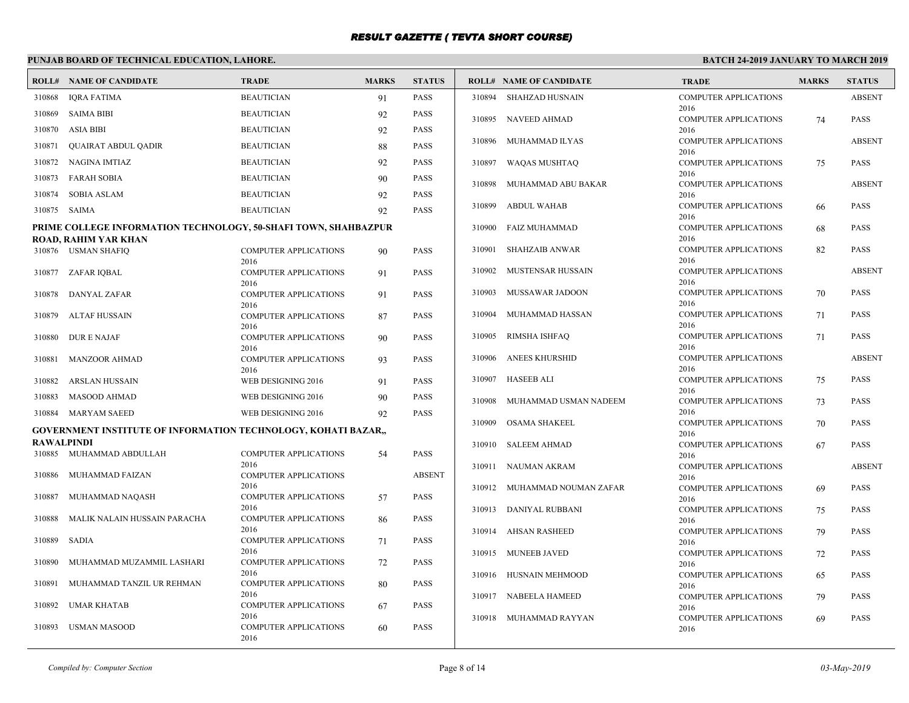# **PUNJAB BOARD OF TECHNICAL EDUCATION, LAHORE.**

|                   | <b>ROLL# NAME OF CANDIDATE</b>                                                          | <b>TRADE</b>                         | <b>MARKS</b> | <b>STATUS</b> |        | <b>ROLL# NAME OF CANDIDATE</b> | <b>TRADE</b>                                 | <b>MARKS</b> | <b>STATUS</b> |
|-------------------|-----------------------------------------------------------------------------------------|--------------------------------------|--------------|---------------|--------|--------------------------------|----------------------------------------------|--------------|---------------|
| 310868            | <b>IORA FATIMA</b>                                                                      | <b>BEAUTICIAN</b>                    | 91           | PASS          | 310894 | SHAHZAD HUSNAIN                | <b>COMPUTER APPLICATIONS</b>                 |              | <b>ABSENT</b> |
| 310869            | <b>SAIMA BIBI</b>                                                                       | <b>BEAUTICIAN</b>                    | 92           | <b>PASS</b>   |        | 310895 NAVEED AHMAD            | 2016<br><b>COMPUTER APPLICATIONS</b>         | 74           | <b>PASS</b>   |
| 310870            | <b>ASIA BIBI</b>                                                                        | <b>BEAUTICIAN</b>                    | 92           | <b>PASS</b>   |        |                                | 2016                                         |              |               |
| 310871            | <b>QUAIRAT ABDUL QADIR</b>                                                              | <b>BEAUTICIAN</b>                    | 88           | <b>PASS</b>   | 310896 | MUHAMMAD ILYAS                 | <b>COMPUTER APPLICATIONS</b><br>2016         |              | <b>ABSENT</b> |
| 310872            | NAGINA IMTIAZ                                                                           | <b>BEAUTICIAN</b>                    | 92           | <b>PASS</b>   | 310897 | WAQAS MUSHTAQ                  | <b>COMPUTER APPLICATIONS</b>                 | 75           | <b>PASS</b>   |
| 310873            | <b>FARAH SOBIA</b>                                                                      | <b>BEAUTICIAN</b>                    | 90           | <b>PASS</b>   | 310898 | MUHAMMAD ABU BAKAR             | 2016<br><b>COMPUTER APPLICATIONS</b>         |              | <b>ABSENT</b> |
| 310874            | <b>SOBIA ASLAM</b>                                                                      | <b>BEAUTICIAN</b>                    | 92           | PASS          |        |                                | 2016                                         |              |               |
| 310875            | SAIMA                                                                                   | <b>BEAUTICIAN</b>                    | 92           | PASS          | 310899 | <b>ABDUL WAHAB</b>             | COMPUTER APPLICATIONS                        | 66           | <b>PASS</b>   |
|                   | PRIME COLLEGE INFORMATION TECHNOLOGY, 50-SHAFI TOWN, SHAHBAZPUR<br>ROAD, RAHIM YAR KHAN |                                      |              |               | 310900 | FAIZ MUHAMMAD                  | 2016<br><b>COMPUTER APPLICATIONS</b><br>2016 | 68           | <b>PASS</b>   |
|                   | 310876 USMAN SHAFIQ                                                                     | COMPUTER APPLICATIONS<br>2016        | 90           | <b>PASS</b>   | 310901 | SHAHZAIB ANWAR                 | <b>COMPUTER APPLICATIONS</b><br>2016         | 82           | <b>PASS</b>   |
| 310877            | ZAFAR IQBAL                                                                             | <b>COMPUTER APPLICATIONS</b><br>2016 | 91           | <b>PASS</b>   | 310902 | MUSTENSAR HUSSAIN              | <b>COMPUTER APPLICATIONS</b><br>2016         |              | <b>ABSENT</b> |
| 310878            | DANYAL ZAFAR                                                                            | <b>COMPUTER APPLICATIONS</b><br>2016 | 91           | <b>PASS</b>   | 310903 | MUSSAWAR JADOON                | <b>COMPUTER APPLICATIONS</b><br>2016         | 70           | <b>PASS</b>   |
| 310879            | <b>ALTAF HUSSAIN</b>                                                                    | COMPUTER APPLICATIONS<br>2016        | 87           | PASS          | 310904 | MUHAMMAD HASSAN                | <b>COMPUTER APPLICATIONS</b><br>2016         | 71           | <b>PASS</b>   |
| 310880            | <b>DUR E NAJAF</b>                                                                      | <b>COMPUTER APPLICATIONS</b><br>2016 | 90           | <b>PASS</b>   | 310905 | RIMSHA ISHFAO                  | <b>COMPUTER APPLICATIONS</b><br>2016         | 71           | <b>PASS</b>   |
| 310881            | <b>MANZOOR AHMAD</b>                                                                    | <b>COMPUTER APPLICATIONS</b><br>2016 | 93           | <b>PASS</b>   | 310906 | <b>ANEES KHURSHID</b>          | <b>COMPUTER APPLICATIONS</b><br>2016         |              | <b>ABSENT</b> |
| 310882            | ARSLAN HUSSAIN                                                                          | WEB DESIGNING 2016                   | 91           | PASS          | 310907 | HASEEB ALI                     | <b>COMPUTER APPLICATIONS</b>                 | 75           | <b>PASS</b>   |
| 310883            | <b>MASOOD AHMAD</b>                                                                     | WEB DESIGNING 2016                   | 90           | <b>PASS</b>   | 310908 | MUHAMMAD USMAN NADEEM          | 2016<br><b>COMPUTER APPLICATIONS</b>         | 73           | <b>PASS</b>   |
| 310884            | <b>MARYAM SAEED</b>                                                                     | WEB DESIGNING 2016                   | 92           | PASS          |        |                                | 2016                                         |              |               |
|                   | GOVERNMENT INSTITUTE OF INFORMATION TECHNOLOGY, KOHATI BAZAR,,                          |                                      |              |               | 310909 | <b>OSAMA SHAKEEL</b>           | <b>COMPUTER APPLICATIONS</b><br>2016         | 70           | <b>PASS</b>   |
| <b>RAWALPINDI</b> | 310885 MUHAMMAD ABDULLAH                                                                | COMPUTER APPLICATIONS                |              | PASS          | 310910 | SALEEM AHMAD                   | <b>COMPUTER APPLICATIONS</b>                 | 67           | <b>PASS</b>   |
|                   |                                                                                         | 2016                                 | 54           |               |        | 310911 NAUMAN AKRAM            | 2016<br><b>COMPUTER APPLICATIONS</b>         |              | <b>ABSENT</b> |
| 310886            | MUHAMMAD FAIZAN                                                                         | <b>COMPUTER APPLICATIONS</b><br>2016 |              | <b>ABSENT</b> |        | 310912 MUHAMMAD NOUMAN ZAFAR   | 2016<br><b>COMPUTER APPLICATIONS</b>         | 69           | <b>PASS</b>   |
| 310887            | MUHAMMAD NAQASH                                                                         | <b>COMPUTER APPLICATIONS</b>         | .57          | PASS          |        |                                | 2016                                         |              |               |
| 310888            | MALIK NALAIN HUSSAIN PARACHA                                                            | 2016<br><b>COMPUTER APPLICATIONS</b> | 86           | PASS          |        | 310913 DANIYAL RUBBANI         | <b>COMPUTER APPLICATIONS</b><br>2016         | 75           | <b>PASS</b>   |
|                   |                                                                                         | 2016                                 |              |               |        | 310914 AHSAN RASHEED           | <b>COMPUTER APPLICATIONS</b>                 | 79           | <b>PASS</b>   |
| 310889            | SADIA                                                                                   | <b>COMPUTER APPLICATIONS</b><br>2016 | 71           | <b>PASS</b>   |        | 310915 MUNEEB JAVED            | 2016<br><b>COMPUTER APPLICATIONS</b>         |              | <b>PASS</b>   |
| 310890            | MUHAMMAD MUZAMMIL LASHARI                                                               | <b>COMPUTER APPLICATIONS</b>         | 72           | <b>PASS</b>   |        |                                | 2016                                         | 72           |               |
| 310891            | MUHAMMAD TANZIL UR REHMAN                                                               | 2016<br>COMPUTER APPLICATIONS        | 80           | <b>PASS</b>   | 310916 | HUSNAIN MEHMOOD                | <b>COMPUTER APPLICATIONS</b><br>2016         | 65           | <b>PASS</b>   |
| 310892            | <b>UMAR KHATAB</b>                                                                      | 2016<br><b>COMPUTER APPLICATIONS</b> |              | PASS          |        | 310917 NABEELA HAMEED          | <b>COMPUTER APPLICATIONS</b>                 | 79           | <b>PASS</b>   |
|                   |                                                                                         | 2016                                 | 67           |               |        | 310918 MUHAMMAD RAYYAN         | 2016<br>COMPUTER APPLICATIONS                | 69           | <b>PASS</b>   |
| 310893            | USMAN MASOOD                                                                            | <b>COMPUTER APPLICATIONS</b><br>2016 | 60           | <b>PASS</b>   |        |                                | 2016                                         |              |               |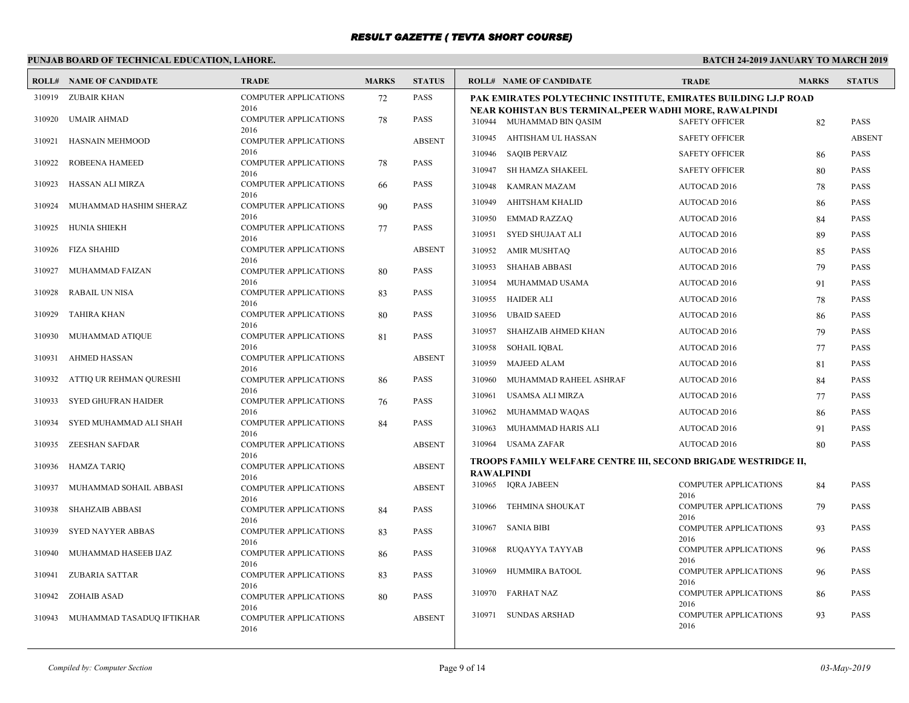# **PUNJAB BOARD OF TECHNICAL EDUCATION, LAHORE.**

 $\Gamma$ 

|        | <b>ROLL# NAME OF CANDIDATE</b>   | <b>TRADE</b>                         | <b>MARKS</b> | <b>STATUS</b> |                   | <b>ROLL# NAME OF CANDIDATE</b>                                                      | <b>TRADE</b>                         | <b>MARKS</b> | <b>STATUS</b> |
|--------|----------------------------------|--------------------------------------|--------------|---------------|-------------------|-------------------------------------------------------------------------------------|--------------------------------------|--------------|---------------|
| 310919 | ZUBAIR KHAN                      | <b>COMPUTER APPLICATIONS</b><br>2016 | 72           | <b>PASS</b>   |                   | PAK EMIRATES POLYTECHNIC INSTITUTE, EMIRATES BUILDING I.J.P ROAD                    |                                      |              |               |
| 310920 | <b>UMAIR AHMAD</b>               | <b>COMPUTER APPLICATIONS</b><br>2016 | 78           | <b>PASS</b>   |                   | NEAR KOHISTAN BUS TERMINAL,PEER WADHI MORE, RAWALPINDI<br>310944 MUHAMMAD BIN QASIM | <b>SAFETY OFFICER</b>                | 82           | <b>PASS</b>   |
| 310921 | HASNAIN MEHMOOD                  | <b>COMPUTER APPLICATIONS</b>         |              | <b>ABSENT</b> |                   | 310945 AHTISHAM UL HASSAN                                                           | <b>SAFETY OFFICER</b>                |              | <b>ABSENT</b> |
| 310922 | <b>ROBEENA HAMEED</b>            | 2016<br><b>COMPUTER APPLICATIONS</b> |              | <b>PASS</b>   | 310946            | <b>SAQIB PERVAIZ</b>                                                                | <b>SAFETY OFFICER</b>                | 86           | <b>PASS</b>   |
|        |                                  | 2016                                 | 78           |               | 310947            | SH HAMZA SHAKEEL                                                                    | <b>SAFETY OFFICER</b>                | 80           | <b>PASS</b>   |
| 310923 | HASSAN ALI MIRZA                 | <b>COMPUTER APPLICATIONS</b><br>2016 | -66          | PASS          | 310948            | <b>KAMRAN MAZAM</b>                                                                 | AUTOCAD 2016                         | 78           | <b>PASS</b>   |
| 310924 | MUHAMMAD HASHIM SHERAZ           | <b>COMPUTER APPLICATIONS</b>         | 90           | <b>PASS</b>   | 310949            | AHITSHAM KHALID                                                                     | AUTOCAD 2016                         | 86           | <b>PASS</b>   |
|        |                                  | 2016                                 |              |               | 310950            | <b>EMMAD RAZZAQ</b>                                                                 | AUTOCAD 2016                         | 84           | <b>PASS</b>   |
| 310925 | HUNIA SHIEKH                     | <b>COMPUTER APPLICATIONS</b><br>2016 | 77           | <b>PASS</b>   | 310951            | SYED SHUJAAT ALI                                                                    | AUTOCAD 2016                         | 89           | <b>PASS</b>   |
|        | 310926 FIZA SHAHID               | <b>COMPUTER APPLICATIONS</b>         |              | <b>ABSENT</b> | 310952            | AMIR MUSHTAQ                                                                        | AUTOCAD 2016                         | 85           | <b>PASS</b>   |
| 310927 | MUHAMMAD FAIZAN                  | 2016<br><b>COMPUTER APPLICATIONS</b> | 80           | <b>PASS</b>   | 310953            | <b>SHAHAB ABBASI</b>                                                                | AUTOCAD 2016                         | 79           | <b>PASS</b>   |
|        |                                  | 2016                                 |              |               | 310954            | MUHAMMAD USAMA                                                                      | AUTOCAD 2016                         | 91           | <b>PASS</b>   |
| 310928 | RABAIL UN NISA                   | COMPUTER APPLICATIONS<br>2016        | 83           | <b>PASS</b>   | 310955            | <b>HAIDER ALI</b>                                                                   | AUTOCAD 2016                         | 78           | <b>PASS</b>   |
| 310929 | <b>TAHIRA KHAN</b>               | <b>COMPUTER APPLICATIONS</b>         | 80           | <b>PASS</b>   | 310956            | <b>UBAID SAEED</b>                                                                  | AUTOCAD 2016                         | 86           | <b>PASS</b>   |
| 310930 | MUHAMMAD ATIQUE                  | 2016<br><b>COMPUTER APPLICATIONS</b> | 81           | <b>PASS</b>   | 310957            | SHAHZAIB AHMED KHAN                                                                 | AUTOCAD 2016                         | 79           | <b>PASS</b>   |
|        |                                  | 2016                                 |              |               |                   | 310958 SOHAIL IQBAL                                                                 | AUTOCAD 2016                         | 77           | <b>PASS</b>   |
| 310931 | <b>AHMED HASSAN</b>              | COMPUTER APPLICATIONS<br>2016        |              | <b>ABSENT</b> | 310959            | <b>MAJEED ALAM</b>                                                                  | AUTOCAD 2016                         | 81           | <b>PASS</b>   |
| 310932 | ATTIQ UR REHMAN QURESHI          | <b>COMPUTER APPLICATIONS</b>         | 86           | <b>PASS</b>   | 310960            | MUHAMMAD RAHEEL ASHRAF                                                              | AUTOCAD 2016                         | 84           | <b>PASS</b>   |
| 310933 | SYED GHUFRAN HAIDER              | 2016<br><b>COMPUTER APPLICATIONS</b> |              | <b>PASS</b>   | 310961            | USAMSA ALI MIRZA                                                                    | AUTOCAD 2016                         | 77           | <b>PASS</b>   |
|        |                                  | 2016                                 | 76           |               | 310962            | MUHAMMAD WAQAS                                                                      | AUTOCAD 2016                         | 86           | <b>PASS</b>   |
| 310934 | SYED MUHAMMAD ALI SHAH           | <b>COMPUTER APPLICATIONS</b><br>2016 | 84           | <b>PASS</b>   | 310963            | MUHAMMAD HARIS ALI                                                                  | AUTOCAD 2016                         | 91           | <b>PASS</b>   |
| 310935 | ZEESHAN SAFDAR                   | <b>COMPUTER APPLICATIONS</b>         |              | <b>ABSENT</b> |                   | 310964 USAMA ZAFAR                                                                  | AUTOCAD 2016                         | 80           | <b>PASS</b>   |
|        |                                  | 2016                                 |              |               |                   | TROOPS FAMILY WELFARE CENTRE III, SECOND BRIGADE WESTRIDGE II,                      |                                      |              |               |
| 310936 | HAMZA TARIQ                      | <b>COMPUTER APPLICATIONS</b><br>2016 |              | <b>ABSENT</b> | <b>RAWALPINDI</b> |                                                                                     |                                      |              |               |
| 310937 | MUHAMMAD SOHAIL ABBASI           | COMPUTER APPLICATIONS                |              | <b>ABSENT</b> |                   | 310965 IQRA JABEEN                                                                  | <b>COMPUTER APPLICATIONS</b><br>2016 | 84           | <b>PASS</b>   |
| 310938 | <b>SHAHZAIB ABBASI</b>           | 2016<br><b>COMPUTER APPLICATIONS</b> | 84           | <b>PASS</b>   |                   | 310966 TEHMINA SHOUKAT                                                              | <b>COMPUTER APPLICATIONS</b>         | 79           | <b>PASS</b>   |
| 310939 | <b>SYED NAYYER ABBAS</b>         | 2016<br><b>COMPUTER APPLICATIONS</b> | 83           | <b>PASS</b>   |                   | 310967 SANIA BIBI                                                                   | 2016<br><b>COMPUTER APPLICATIONS</b> | 93           | <b>PASS</b>   |
|        |                                  | 2016                                 |              |               |                   |                                                                                     | 2016                                 |              |               |
| 310940 | MUHAMMAD HASEEB IJAZ             | <b>COMPUTER APPLICATIONS</b><br>2016 | 86           | <b>PASS</b>   | 310968            | RUQAYYA TAYYAB                                                                      | <b>COMPUTER APPLICATIONS</b><br>2016 | 96           | <b>PASS</b>   |
| 310941 | ZUBARIA SATTAR                   | <b>COMPUTER APPLICATIONS</b>         | 83           | PASS          | 310969            | HUMMIRA BATOOL                                                                      | <b>COMPUTER APPLICATIONS</b>         | 96           | <b>PASS</b>   |
|        |                                  | 2016                                 |              |               | 310970            | <b>FARHAT NAZ</b>                                                                   | 2016<br><b>COMPUTER APPLICATIONS</b> | 86           | <b>PASS</b>   |
|        | 310942 ZOHAIB ASAD               | <b>COMPUTER APPLICATIONS</b><br>2016 | 80           | <b>PASS</b>   |                   |                                                                                     | 2016                                 |              |               |
|        | 310943 MUHAMMAD TASADUQ IFTIKHAR | <b>COMPUTER APPLICATIONS</b><br>2016 |              | <b>ABSENT</b> | 310971            | <b>SUNDAS ARSHAD</b>                                                                | <b>COMPUTER APPLICATIONS</b><br>2016 | 93           | <b>PASS</b>   |
|        |                                  |                                      |              |               |                   |                                                                                     |                                      |              |               |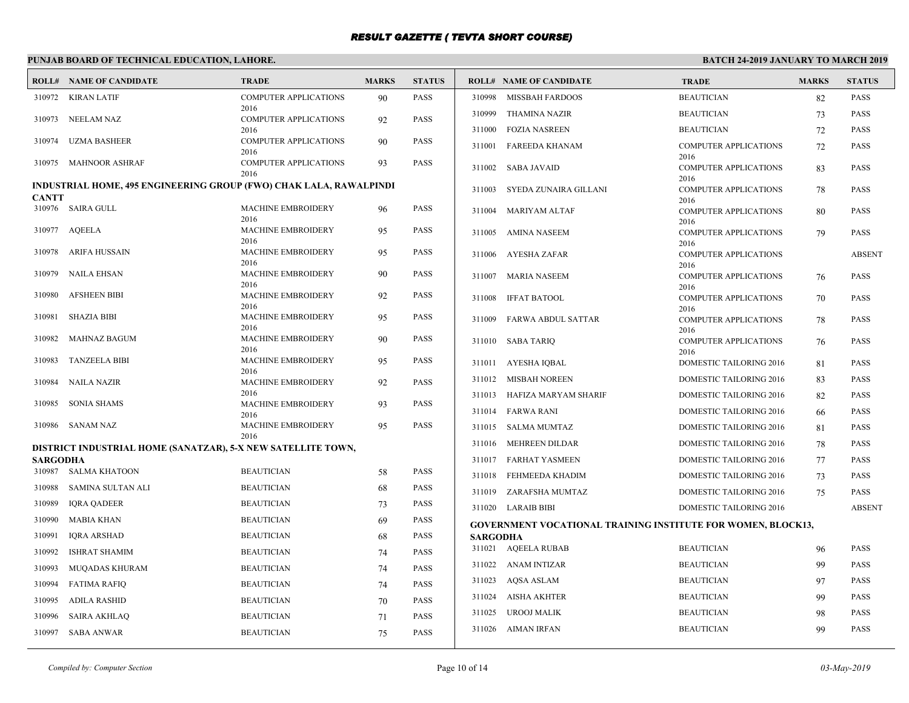# **PUNJAB BOARD OF TECHNICAL EDUCATION, LAHORE.**

|                 | <b>ROLL# NAME OF CANDIDATE</b>                                     | <b>TRADE</b>                         | <b>MARKS</b> | <b>STATUS</b> |                 | <b>ROLL# NAME OF CANDIDATE</b>                                      | <b>TRADE</b>                         | <b>MARKS</b> | <b>STATUS</b> |
|-----------------|--------------------------------------------------------------------|--------------------------------------|--------------|---------------|-----------------|---------------------------------------------------------------------|--------------------------------------|--------------|---------------|
|                 | 310972 KIRAN LATIF                                                 | <b>COMPUTER APPLICATIONS</b>         | 90           | PASS          | 310998          | MISSBAH FARDOOS                                                     | <b>BEAUTICIAN</b>                    | 82           | PASS          |
|                 | 310973 NEELAM NAZ                                                  | 2016<br><b>COMPUTER APPLICATIONS</b> | 92           | <b>PASS</b>   | 310999          | THAMINA NAZIR                                                       | <b>BEAUTICIAN</b>                    | 73           | <b>PASS</b>   |
|                 |                                                                    | 2016                                 |              |               | 311000          | <b>FOZIA NASREEN</b>                                                | <b>BEAUTICIAN</b>                    | 72           | PASS          |
| 310974          | UZMA BASHEER                                                       | <b>COMPUTER APPLICATIONS</b><br>2016 | 90           | PASS          | 311001          | <b>FAREEDA KHANAM</b>                                               | <b>COMPUTER APPLICATIONS</b>         | 72           | <b>PASS</b>   |
|                 | 310975 MAHNOOR ASHRAF                                              | <b>COMPUTER APPLICATIONS</b><br>2016 | 93           | <b>PASS</b>   |                 | 311002 SABA JAVAID                                                  | 2016<br><b>COMPUTER APPLICATIONS</b> | 83           | <b>PASS</b>   |
|                 | INDUSTRIAL HOME, 495 ENGINEERING GROUP (FWO) CHAK LALA, RAWALPINDI |                                      |              |               |                 | 311003 SYEDA ZUNAIRA GILLANI                                        | 2016<br><b>COMPUTER APPLICATIONS</b> | 78           | PASS          |
| <b>CANTT</b>    |                                                                    |                                      |              |               |                 |                                                                     | 2016                                 |              |               |
|                 | 310976 SAIRA GULL                                                  | <b>MACHINE EMBROIDERY</b><br>2016    | 96           | <b>PASS</b>   |                 | 311004 MARIYAM ALTAF                                                | <b>COMPUTER APPLICATIONS</b><br>2016 | 80           | PASS          |
|                 | 310977 AQEELA                                                      | MACHINE EMBROIDERY                   | 95           | PASS          |                 | 311005 AMINA NASEEM                                                 | <b>COMPUTER APPLICATIONS</b>         | 79           | <b>PASS</b>   |
| 310978          | ARIFA HUSSAIN                                                      | 2016<br><b>MACHINE EMBROIDERY</b>    | 95           | <b>PASS</b>   |                 | 311006 AYESHA ZAFAR                                                 | 2016<br><b>COMPUTER APPLICATIONS</b> |              | <b>ABSENT</b> |
|                 |                                                                    | 2016                                 |              |               |                 |                                                                     | 2016                                 |              |               |
| 310979          | NAILA EHSAN                                                        | <b>MACHINE EMBROIDERY</b><br>2016    | 90           | PASS          | 311007          | MARIA NASEEM                                                        | <b>COMPUTER APPLICATIONS</b><br>2016 | 76           | <b>PASS</b>   |
| 310980          | <b>AFSHEEN BIBI</b>                                                | MACHINE EMBROIDERY                   | 92           | <b>PASS</b>   |                 | 311008 IFFAT BATOOL                                                 | <b>COMPUTER APPLICATIONS</b>         | 70           | <b>PASS</b>   |
| 310981          | <b>SHAZIA BIBI</b>                                                 | 2016<br><b>MACHINE EMBROIDERY</b>    | 95           | <b>PASS</b>   | 311009          |                                                                     | 2016                                 |              |               |
|                 |                                                                    | 2016                                 |              |               |                 | FARWA ABDUL SATTAR                                                  | COMPUTER APPLICATIONS<br>2016        | 78           | <b>PASS</b>   |
| 310982          | <b>MAHNAZ BAGUM</b>                                                | MACHINE EMBROIDERY<br>2016           | 90           | <b>PASS</b>   |                 | 311010 SABA TARIQ                                                   | <b>COMPUTER APPLICATIONS</b>         | 76           | <b>PASS</b>   |
| 310983          | <b>TANZEELA BIBI</b>                                               | <b>MACHINE EMBROIDERY</b>            | 95           | <b>PASS</b>   |                 | 311011 AYESHA IQBAL                                                 | 2016<br>DOMESTIC TAILORING 2016      | 81           | PASS          |
| 310984          | NAILA NAZIR                                                        | 2016<br><b>MACHINE EMBROIDERY</b>    | 92           | <b>PASS</b>   |                 | 311012 MISBAH NOREEN                                                | DOMESTIC TAILORING 2016              | 83           | <b>PASS</b>   |
|                 |                                                                    | 2016                                 |              |               | 311013          | HAFIZA MARYAM SHARIF                                                | <b>DOMESTIC TAILORING 2016</b>       | 82           | <b>PASS</b>   |
| 310985          | <b>SONIA SHAMS</b>                                                 | <b>MACHINE EMBROIDERY</b><br>2016    | 93           | <b>PASS</b>   |                 | 311014 FARWA RANI                                                   | DOMESTIC TAILORING 2016              | 66           | <b>PASS</b>   |
|                 | 310986 SANAM NAZ                                                   | <b>MACHINE EMBROIDERY</b>            | 95           | <b>PASS</b>   |                 | 311015 SALMA MUMTAZ                                                 | <b>DOMESTIC TAILORING 2016</b>       | 81           | <b>PASS</b>   |
|                 |                                                                    | 2016                                 |              |               |                 | 311016 MEHREEN DILDAR                                               | DOMESTIC TAILORING 2016              | 78           | PASS          |
| <b>SARGODHA</b> | DISTRICT INDUSTRIAL HOME (SANATZAR), 5-X NEW SATELLITE TOWN,       |                                      |              |               |                 | 311017 FARHAT YASMEEN                                               | DOMESTIC TAILORING 2016              | 77           | <b>PASS</b>   |
| 310987          | <b>SALMA KHATOON</b>                                               | <b>BEAUTICIAN</b>                    | 58           | <b>PASS</b>   |                 | 311018 FEHMEEDA KHADIM                                              | DOMESTIC TAILORING 2016              | 73           | PASS          |
| 310988          | SAMINA SULTAN ALI                                                  | <b>BEAUTICIAN</b>                    | 68           | <b>PASS</b>   |                 | 311019 ZARAFSHA MUMTAZ                                              | DOMESTIC TAILORING 2016              | 75           | <b>PASS</b>   |
| 310989          | <b>IQRA QADEER</b>                                                 | <b>BEAUTICIAN</b>                    | 73           | <b>PASS</b>   |                 | 311020 LARAIB BIBI                                                  | <b>DOMESTIC TAILORING 2016</b>       |              | <b>ABSENT</b> |
| 310990          | <b>MABIA KHAN</b>                                                  | <b>BEAUTICIAN</b>                    | 69           | PASS          |                 | <b>GOVERNMENT VOCATIONAL TRAINING INSTITUTE FOR WOMEN, BLOCK13,</b> |                                      |              |               |
| 310991          | <b>IQRA ARSHAD</b>                                                 | <b>BEAUTICIAN</b>                    | 68           | <b>PASS</b>   | <b>SARGODHA</b> |                                                                     |                                      |              |               |
| 310992          | <b>ISHRAT SHAMIM</b>                                               | <b>BEAUTICIAN</b>                    | 74           | PASS          |                 | 311021 AQEELA RUBAB                                                 | <b>BEAUTICIAN</b>                    | 96           | <b>PASS</b>   |
| 310993          | <b>MUQADAS KHURAM</b>                                              | <b>BEAUTICIAN</b>                    | 74           | <b>PASS</b>   |                 | 311022 ANAM INTIZAR                                                 | <b>BEAUTICIAN</b>                    | 99           | <b>PASS</b>   |
| 310994          | <b>FATIMA RAFIQ</b>                                                | <b>BEAUTICIAN</b>                    | 74           | PASS          |                 | 311023 AQSA ASLAM                                                   | <b>BEAUTICIAN</b>                    | 97           | PASS          |
| 310995          | ADILA RASHID                                                       | <b>BEAUTICIAN</b>                    | 70           | <b>PASS</b>   |                 | 311024 AISHA AKHTER                                                 | <b>BEAUTICIAN</b>                    | 99           | <b>PASS</b>   |
| 310996          | <b>SAIRA AKHLAQ</b>                                                | <b>BEAUTICIAN</b>                    | 71           | <b>PASS</b>   | 311025          | UROOJ MALIK                                                         | <b>BEAUTICIAN</b>                    | 98           | <b>PASS</b>   |
|                 | 310997 SABA ANWAR                                                  | <b>BEAUTICIAN</b>                    | 75           | <b>PASS</b>   |                 | 311026 AIMAN IRFAN                                                  | <b>BEAUTICIAN</b>                    | 99           | <b>PASS</b>   |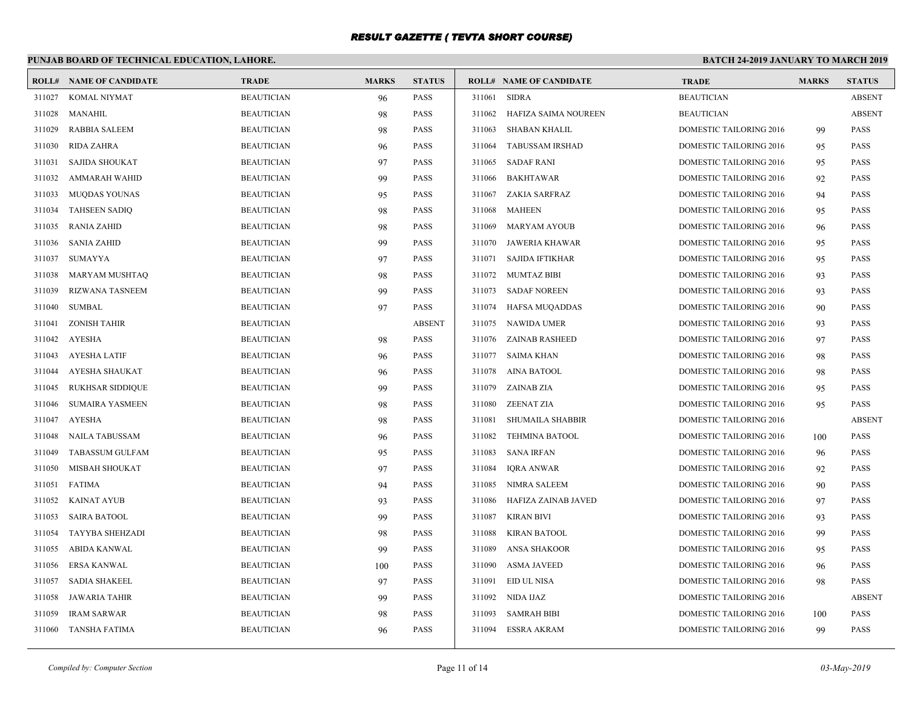# **PUNJAB BOARD OF TECHNICAL EDUCATION, LAHORE.**

| ROLL#  | <b>NAME OF CANDIDATE</b> | <b>TRADE</b>      | <b>MARKS</b> | <b>STATUS</b> |        | <b>ROLL# NAME OF CANDIDATE</b> | <b>TRADE</b>                   | <b>MARKS</b> | <b>STATUS</b> |
|--------|--------------------------|-------------------|--------------|---------------|--------|--------------------------------|--------------------------------|--------------|---------------|
| 311027 | <b>KOMAL NIYMAT</b>      | <b>BEAUTICIAN</b> | 96           | <b>PASS</b>   | 311061 | <b>SIDRA</b>                   | <b>BEAUTICIAN</b>              |              | <b>ABSENT</b> |
| 311028 | MANAHIL                  | <b>BEAUTICIAN</b> | 98           | <b>PASS</b>   | 311062 | HAFIZA SAIMA NOUREEN           | <b>BEAUTICIAN</b>              |              | <b>ABSENT</b> |
| 311029 | <b>RABBIA SALEEM</b>     | <b>BEAUTICIAN</b> | 98           | <b>PASS</b>   | 311063 | <b>SHABAN KHALIL</b>           | <b>DOMESTIC TAILORING 2016</b> | 99           | <b>PASS</b>   |
| 311030 | <b>RIDA ZAHRA</b>        | <b>BEAUTICIAN</b> | 96           | <b>PASS</b>   | 311064 | <b>TABUSSAM IRSHAD</b>         | DOMESTIC TAILORING 2016        | 95           | PASS          |
| 311031 | <b>SAJIDA SHOUKAT</b>    | <b>BEAUTICIAN</b> | 97           | PASS          | 311065 | SADAF RANI                     | DOMESTIC TAILORING 2016        | 95           | <b>PASS</b>   |
| 311032 | AMMARAH WAHID            | <b>BEAUTICIAN</b> | 99           | <b>PASS</b>   | 311066 | <b>BAKHTAWAR</b>               | <b>DOMESTIC TAILORING 2016</b> | 92           | <b>PASS</b>   |
| 311033 | <b>MUODAS YOUNAS</b>     | <b>BEAUTICIAN</b> | 95           | PASS          | 311067 | ZAKIA SARFRAZ                  | <b>DOMESTIC TAILORING 2016</b> | 94           | <b>PASS</b>   |
| 311034 | <b>TAHSEEN SADIQ</b>     | <b>BEAUTICIAN</b> | 98           | <b>PASS</b>   | 311068 | <b>MAHEEN</b>                  | DOMESTIC TAILORING 2016        | 95           | PASS          |
| 311035 | <b>RANIA ZAHID</b>       | <b>BEAUTICIAN</b> | 98           | <b>PASS</b>   | 311069 | <b>MARYAM AYOUB</b>            | DOMESTIC TAILORING 2016        | 96           | PASS          |
| 311036 | <b>SANIA ZAHID</b>       | <b>BEAUTICIAN</b> | 99           | <b>PASS</b>   | 311070 | JAWERIA KHAWAR                 | <b>DOMESTIC TAILORING 2016</b> | 95           | <b>PASS</b>   |
| 311037 | SUMAYYA                  | <b>BEAUTICIAN</b> | 97           | <b>PASS</b>   | 311071 | <b>SAJIDA IFTIKHAR</b>         | DOMESTIC TAILORING 2016        | 95           | PASS          |
| 311038 | <b>MARYAM MUSHTAQ</b>    | <b>BEAUTICIAN</b> | 98           | <b>PASS</b>   | 311072 | MUMTAZ BIBI                    | <b>DOMESTIC TAILORING 2016</b> | 93           | <b>PASS</b>   |
| 311039 | <b>RIZWANA TASNEEM</b>   | <b>BEAUTICIAN</b> | 99           | <b>PASS</b>   | 311073 | SADAF NOREEN                   | <b>DOMESTIC TAILORING 2016</b> | 93           | <b>PASS</b>   |
| 311040 | <b>SUMBAL</b>            | <b>BEAUTICIAN</b> | 97           | <b>PASS</b>   | 311074 | HAFSA MUQADDAS                 | DOMESTIC TAILORING 2016        | 90           | <b>PASS</b>   |
| 311041 | <b>ZONISH TAHIR</b>      | <b>BEAUTICIAN</b> |              | <b>ABSENT</b> |        | 311075 NAWIDA UMER             | DOMESTIC TAILORING 2016        | 93           | PASS          |
| 311042 | AYESHA                   | <b>BEAUTICIAN</b> | 98           | <b>PASS</b>   |        | 311076 ZAINAB RASHEED          | <b>DOMESTIC TAILORING 2016</b> | 97           | <b>PASS</b>   |
| 311043 | <b>AYESHA LATIF</b>      | <b>BEAUTICIAN</b> | 96           | <b>PASS</b>   | 311077 | SAIMA KHAN                     | <b>DOMESTIC TAILORING 2016</b> | 98           | <b>PASS</b>   |
| 311044 | <b>AYESHA SHAUKAT</b>    | <b>BEAUTICIAN</b> | 96           | <b>PASS</b>   | 311078 | AINA BATOOL                    | DOMESTIC TAILORING 2016        | 98           | <b>PASS</b>   |
| 311045 | <b>RUKHSAR SIDDIQUE</b>  | <b>BEAUTICIAN</b> | 99           | <b>PASS</b>   | 311079 | ZAINAB ZIA                     | DOMESTIC TAILORING 2016        | 95           | <b>PASS</b>   |
| 311046 | <b>SUMAIRA YASMEEN</b>   | <b>BEAUTICIAN</b> | 98           | <b>PASS</b>   | 311080 | ZEENAT ZIA                     | <b>DOMESTIC TAILORING 2016</b> | 95           | <b>PASS</b>   |
| 311047 | <b>AYESHA</b>            | <b>BEAUTICIAN</b> | 98           | <b>PASS</b>   | 311081 | <b>SHUMAILA SHABBIR</b>        | DOMESTIC TAILORING 2016        |              | <b>ABSENT</b> |
| 311048 | <b>NAILA TABUSSAM</b>    | <b>BEAUTICIAN</b> | 96           | <b>PASS</b>   | 311082 | <b>TEHMINA BATOOL</b>          | DOMESTIC TAILORING 2016        | 100          | <b>PASS</b>   |
| 311049 | <b>TABASSUM GULFAM</b>   | <b>BEAUTICIAN</b> | 95           | <b>PASS</b>   | 311083 | <b>SANA IRFAN</b>              | <b>DOMESTIC TAILORING 2016</b> | 96           | <b>PASS</b>   |
| 311050 | MISBAH SHOUKAT           | <b>BEAUTICIAN</b> | 97           | <b>PASS</b>   | 311084 | <b>IQRA ANWAR</b>              | DOMESTIC TAILORING 2016        | 92           | <b>PASS</b>   |
| 311051 | <b>FATIMA</b>            | <b>BEAUTICIAN</b> | 94           | <b>PASS</b>   | 311085 | <b>NIMRA SALEEM</b>            | <b>DOMESTIC TAILORING 2016</b> | 90           | <b>PASS</b>   |
| 311052 | <b>KAINAT AYUB</b>       | <b>BEAUTICIAN</b> | 93           | <b>PASS</b>   | 311086 | HAFIZA ZAINAB JAVED            | <b>DOMESTIC TAILORING 2016</b> | 97           | <b>PASS</b>   |
| 311053 | <b>SAIRA BATOOL</b>      | <b>BEAUTICIAN</b> | 99           | <b>PASS</b>   | 311087 | <b>KIRAN BIVI</b>              | DOMESTIC TAILORING 2016        | 93           | <b>PASS</b>   |
| 311054 | TAYYBA SHEHZADI          | <b>BEAUTICIAN</b> | 98           | <b>PASS</b>   | 311088 | <b>KIRAN BATOOL</b>            | DOMESTIC TAILORING 2016        | 99           | PASS          |
| 311055 | ABIDA KANWAL             | <b>BEAUTICIAN</b> | 99           | <b>PASS</b>   | 311089 | <b>ANSA SHAKOOR</b>            | DOMESTIC TAILORING 2016        | 95           | <b>PASS</b>   |
| 311056 | <b>ERSA KANWAL</b>       | <b>BEAUTICIAN</b> | 100          | <b>PASS</b>   | 311090 | <b>ASMA JAVEED</b>             | <b>DOMESTIC TAILORING 2016</b> | 96           | <b>PASS</b>   |
| 311057 | <b>SADIA SHAKEEL</b>     | <b>BEAUTICIAN</b> | 97           | PASS          | 311091 | EID UL NISA                    | DOMESTIC TAILORING 2016        | 98           | <b>PASS</b>   |
| 311058 | <b>JAWARIA TAHIR</b>     | <b>BEAUTICIAN</b> | 99           | <b>PASS</b>   | 311092 | NIDA IJAZ                      | <b>DOMESTIC TAILORING 2016</b> |              | <b>ABSENT</b> |
| 311059 | <b>IRAM SARWAR</b>       | <b>BEAUTICIAN</b> | 98           | <b>PASS</b>   | 311093 | <b>SAMRAH BIBI</b>             | <b>DOMESTIC TAILORING 2016</b> | 100          | <b>PASS</b>   |
| 311060 | TANSHA FATIMA            | <b>BEAUTICIAN</b> | 96           | <b>PASS</b>   | 311094 | ESSRA AKRAM                    | <b>DOMESTIC TAILORING 2016</b> | 99           | PASS          |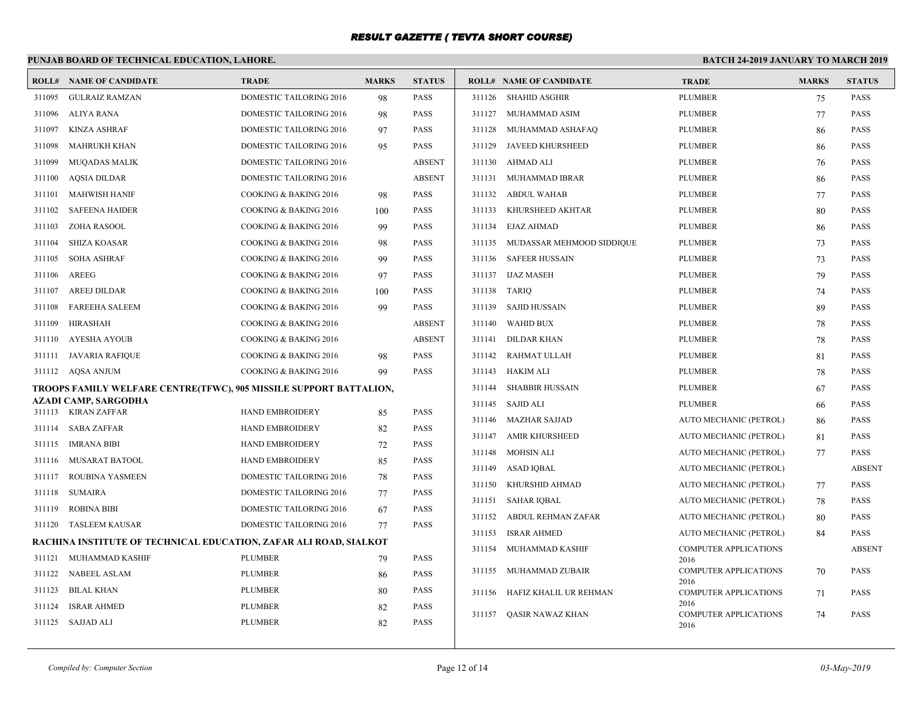# **PUNJAB BOARD OF TECHNICAL EDUCATION, LAHORE.**

|        | <b>ROLL# NAME OF CANDIDATE</b>                                     | <b>TRADE</b>                   | <b>MARKS</b> | <b>STATUS</b> |        | <b>ROLL# NAME OF CANDIDATE</b> | <b>TRADE</b>                         | <b>MARKS</b> | <b>STATUS</b> |
|--------|--------------------------------------------------------------------|--------------------------------|--------------|---------------|--------|--------------------------------|--------------------------------------|--------------|---------------|
| 311095 | <b>GULRAIZ RAMZAN</b>                                              | DOMESTIC TAILORING 2016        | 98           | PASS          |        | 311126 SHAHID ASGHIR           | PLUMBER                              | 75           | <b>PASS</b>   |
| 311096 | ALIYA RANA                                                         | <b>DOMESTIC TAILORING 2016</b> | 98           | PASS          | 311127 | MUHAMMAD ASIM                  | <b>PLUMBER</b>                       | 77           | <b>PASS</b>   |
| 311097 | <b>KINZA ASHRAF</b>                                                | DOMESTIC TAILORING 2016        | 97           | PASS          | 311128 | MUHAMMAD ASHAFAQ               | <b>PLUMBER</b>                       | 86           | <b>PASS</b>   |
| 311098 | <b>MAHRUKH KHAN</b>                                                | <b>DOMESTIC TAILORING 2016</b> | 95           | PASS          | 311129 | <b>JAVEED KHURSHEED</b>        | <b>PLUMBER</b>                       | 86           | <b>PASS</b>   |
| 311099 | <b>MUQADAS MALIK</b>                                               | DOMESTIC TAILORING 2016        |              | <b>ABSENT</b> |        | 311130 AHMAD ALI               | <b>PLUMBER</b>                       | 76           | PASS          |
| 311100 | <b>AQSIA DILDAR</b>                                                | DOMESTIC TAILORING 2016        |              | <b>ABSENT</b> |        | 311131 MUHAMMAD IBRAR          | <b>PLUMBER</b>                       | 86           | PASS          |
| 311101 | <b>MAHWISH HANIF</b>                                               | COOKING & BAKING 2016          | 98           | PASS          |        | 311132 ABDUL WAHAB             | <b>PLUMBER</b>                       | 77           | <b>PASS</b>   |
| 311102 | <b>SAFEENA HAIDER</b>                                              | COOKING & BAKING 2016          | 100          | PASS          | 311133 | KHURSHEED AKHTAR               | <b>PLUMBER</b>                       | 80           | <b>PASS</b>   |
| 311103 | ZOHA RASOOL                                                        | COOKING & BAKING 2016          | 99           | PASS          | 311134 | EJAZ AHMAD                     | <b>PLUMBER</b>                       | 86           | <b>PASS</b>   |
| 311104 | <b>SHIZA KOASAR</b>                                                | COOKING & BAKING 2016          | 98           | PASS          | 311135 | MUDASSAR MEHMOOD SIDDIQUE      | <b>PLUMBER</b>                       | 73           | <b>PASS</b>   |
| 311105 | <b>SOHA ASHRAF</b>                                                 | COOKING & BAKING 2016          | 99           | PASS          |        | 311136 SAFEER HUSSAIN          | <b>PLUMBER</b>                       | 73           | <b>PASS</b>   |
| 311106 | AREEG                                                              | COOKING & BAKING 2016          | 97           | PASS          |        | 311137 IJAZ MASEH              | <b>PLUMBER</b>                       | 79           | <b>PASS</b>   |
| 311107 | AREEJ DILDAR                                                       | COOKING & BAKING 2016          | 100          | PASS          |        | 311138 TARIO                   | <b>PLUMBER</b>                       | 74           | <b>PASS</b>   |
| 311108 | <b>FAREEHA SALEEM</b>                                              | COOKING & BAKING 2016          | 99           | <b>PASS</b>   |        | 311139 SAJID HUSSAIN           | <b>PLUMBER</b>                       | 89           | <b>PASS</b>   |
| 311109 | <b>HIRASHAH</b>                                                    | COOKING & BAKING 2016          |              | <b>ABSENT</b> | 311140 | <b>WAHID BUX</b>               | <b>PLUMBER</b>                       | 78           | PASS          |
|        | 311110 AYESHA AYOUB                                                | COOKING & BAKING 2016          |              | <b>ABSENT</b> | 311141 | <b>DILDAR KHAN</b>             | <b>PLUMBER</b>                       | 78           | <b>PASS</b>   |
| 311111 | JAVARIA RAFIQUE                                                    | COOKING & BAKING 2016          | 98           | PASS          | 311142 | RAHMAT ULLAH                   | <b>PLUMBER</b>                       | 81           | <b>PASS</b>   |
|        | 311112 AQSA ANJUM                                                  | COOKING & BAKING 2016          | 99           | PASS          | 311143 | HAKIM ALI                      | PLUMBER                              | 78           | <b>PASS</b>   |
|        | TROOPS FAMILY WELFARE CENTRE(TFWC), 905 MISSILE SUPPORT BATTALION, |                                |              |               | 311144 | <b>SHABBIR HUSSAIN</b>         | <b>PLUMBER</b>                       | 67           | <b>PASS</b>   |
|        | AZADI CAMP, SARGODHA<br>311113 KIRAN ZAFFAR                        | <b>HAND EMBROIDERY</b>         | 85           | PASS          |        | 311145 SAJID ALI               | <b>PLUMBER</b>                       | 66           | <b>PASS</b>   |
|        | 311114 SABA ZAFFAR                                                 | HAND EMBROIDERY                | 82           | PASS          |        | 311146 MAZHAR SAJJAD           | AUTO MECHANIC (PETROL)               | 86           | <b>PASS</b>   |
| 311115 | IMRANA BIBI                                                        | <b>HAND EMBROIDERY</b>         | 72           | PASS          | 311147 | <b>AMIR KHURSHEED</b>          | AUTO MECHANIC (PETROL)               | 81           | <b>PASS</b>   |
|        | 311116 MUSARAT BATOOL                                              | HAND EMBROIDERY                | 85           | PASS          | 311148 | MOHSIN ALI                     | AUTO MECHANIC (PETROL)               | 77           | <b>PASS</b>   |
| 311117 | <b>ROUBINA YASMEEN</b>                                             | DOMESTIC TAILORING 2016        | 78           | PASS          | 311149 | ASAD IOBAL                     | AUTO MECHANIC (PETROL)               |              | <b>ABSENT</b> |
| 311118 | SUMAIRA                                                            | DOMESTIC TAILORING 2016        | 77           | PASS          | 311150 | KHURSHID AHMAD                 | AUTO MECHANIC (PETROL)               | 77           | PASS          |
| 311119 | <b>ROBINA BIBI</b>                                                 | <b>DOMESTIC TAILORING 2016</b> | 67           | PASS          |        | 311151 SAHAR IQBAL             | AUTO MECHANIC (PETROL)               | 78           | <b>PASS</b>   |
|        | 311120 TASLEEM KAUSAR                                              | DOMESTIC TAILORING 2016        | 77           | PASS          |        | 311152 ABDUL REHMAN ZAFAR      | AUTO MECHANIC (PETROL)               | 80           | PASS          |
|        | RACHINA INSTITUTE OF TECHNICAL EDUCATION, ZAFAR ALI ROAD, SIALKOT  |                                |              |               | 311153 | <b>ISRAR AHMED</b>             | AUTO MECHANIC (PETROL)               | 84           | <b>PASS</b>   |
|        | 311121 MUHAMMAD KASHIF                                             | <b>PLUMBER</b>                 | 79           | PASS          | 311154 | MUHAMMAD KASHIF                | <b>COMPUTER APPLICATIONS</b>         |              | <b>ABSENT</b> |
|        | 311122 NABEEL ASLAM                                                | <b>PLUMBER</b>                 | 86           | PASS          | 311155 | MUHAMMAD ZUBAIR                | 2016<br><b>COMPUTER APPLICATIONS</b> | 70           | PASS          |
| 311123 | <b>BILAL KHAN</b>                                                  | <b>PLUMBER</b>                 | 80           | PASS          |        |                                | 2016                                 |              |               |
| 311124 | <b>ISRAR AHMED</b>                                                 | <b>PLUMBER</b>                 | 82           | PASS          |        | 311156 HAFIZ KHALIL UR REHMAN  | <b>COMPUTER APPLICATIONS</b><br>2016 | 71           | <b>PASS</b>   |
|        | 311125 SAJJAD ALI                                                  | <b>PLUMBER</b>                 | 82           | PASS          |        | 311157 QASIR NAWAZ KHAN        | <b>COMPUTER APPLICATIONS</b>         | 74           | <b>PASS</b>   |
|        |                                                                    |                                |              |               |        |                                | 2016                                 |              |               |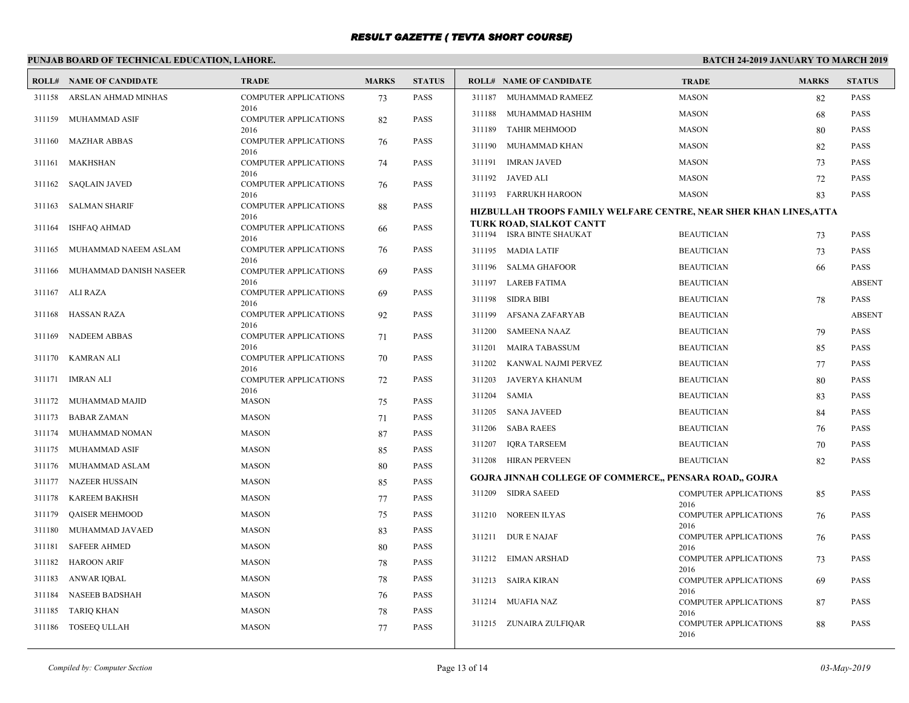# **PUNJAB BOARD OF TECHNICAL EDUCATION, LAHORE.**

|        | <b>ROLL# NAME OF CANDIDATE</b> | <b>TRADE</b>                         | <b>MARKS</b> | <b>STATUS</b> |        | <b>ROLL# NAME OF CANDIDATE</b>                                    | <b>TRADE</b>                         | <b>MARKS</b> | <b>STATUS</b> |
|--------|--------------------------------|--------------------------------------|--------------|---------------|--------|-------------------------------------------------------------------|--------------------------------------|--------------|---------------|
| 311158 | ARSLAN AHMAD MINHAS            | <b>COMPUTER APPLICATIONS</b>         | 73           | <b>PASS</b>   |        | 311187 MUHAMMAD RAMEEZ                                            | <b>MASON</b>                         | 82           | <b>PASS</b>   |
| 311159 | MUHAMMAD ASIF                  | 2016<br><b>COMPUTER APPLICATIONS</b> | 82           | <b>PASS</b>   | 311188 | MUHAMMAD HASHIM                                                   | <b>MASON</b>                         | 68           | <b>PASS</b>   |
|        |                                | 2016                                 |              |               | 311189 | <b>TAHIR MEHMOOD</b>                                              | <b>MASON</b>                         | 80           | <b>PASS</b>   |
| 311160 | MAZHAR ABBAS                   | <b>COMPUTER APPLICATIONS</b><br>2016 | 76           | <b>PASS</b>   | 311190 | MUHAMMAD KHAN                                                     | <b>MASON</b>                         | 82           | <b>PASS</b>   |
| 311161 | MAKHSHAN                       | <b>COMPUTER APPLICATIONS</b>         | 74           | <b>PASS</b>   |        | 311191 IMRAN JAVED                                                | <b>MASON</b>                         | 73           | <b>PASS</b>   |
|        | 311162 SAQLAIN JAVED           | 2016<br><b>COMPUTER APPLICATIONS</b> |              | <b>PASS</b>   |        | 311192 JAVED ALI                                                  | <b>MASON</b>                         | 72           | <b>PASS</b>   |
|        |                                | 2016                                 | 76           |               |        | 311193 FARRUKH HAROON                                             | <b>MASON</b>                         | 83           | <b>PASS</b>   |
| 311163 | <b>SALMAN SHARIF</b>           | <b>COMPUTER APPLICATIONS</b>         | 88           | <b>PASS</b>   |        | HIZBULLAH TROOPS FAMILY WELFARE CENTRE, NEAR SHER KHAN LINES,ATTA |                                      |              |               |
| 311164 | <b>ISHFAQ AHMAD</b>            | 2016<br><b>COMPUTER APPLICATIONS</b> | 66           | <b>PASS</b>   |        | TURK ROAD, SIALKOT CANTT                                          |                                      |              |               |
|        |                                | 2016                                 |              |               |        | 311194 ISRA BINTE SHAUKAT                                         | <b>BEAUTICIAN</b>                    | 73           | <b>PASS</b>   |
| 311165 | MUHAMMAD NAEEM ASLAM           | <b>COMPUTER APPLICATIONS</b><br>2016 | 76           | <b>PASS</b>   |        | 311195 MADIA LATIF                                                | <b>BEAUTICIAN</b>                    | 73           | <b>PASS</b>   |
| 311166 | MUHAMMAD DANISH NASEER         | <b>COMPUTER APPLICATIONS</b>         | 69           | <b>PASS</b>   | 311196 | <b>SALMA GHAFOOR</b>                                              | <b>BEAUTICIAN</b>                    | 66           | <b>PASS</b>   |
|        | 311167 ALI RAZA                | 2016<br><b>COMPUTER APPLICATIONS</b> | 69           | <b>PASS</b>   |        | 311197 LAREB FATIMA                                               | <b>BEAUTICIAN</b>                    |              | <b>ABSENT</b> |
|        |                                | 2016                                 |              |               | 311198 | <b>SIDRA BIBI</b>                                                 | <b>BEAUTICIAN</b>                    | 78           | <b>PASS</b>   |
| 311168 | <b>HASSAN RAZA</b>             | <b>COMPUTER APPLICATIONS</b><br>2016 | 92           | <b>PASS</b>   | 311199 | AFSANA ZAFARYAB                                                   | <b>BEAUTICIAN</b>                    |              | <b>ABSENT</b> |
| 311169 | <b>NADEEM ABBAS</b>            | <b>COMPUTER APPLICATIONS</b>         | 71           | <b>PASS</b>   | 311200 | <b>SAMEENA NAAZ</b>                                               | <b>BEAUTICIAN</b>                    | 79           | <b>PASS</b>   |
| 311170 | <b>KAMRAN ALI</b>              | 2016<br><b>COMPUTER APPLICATIONS</b> |              | <b>PASS</b>   | 311201 | MAIRA TABASSUM                                                    | <b>BEAUTICIAN</b>                    | 85           | <b>PASS</b>   |
|        |                                | 2016                                 | 70           |               |        | 311202 KANWAL NAJMI PERVEZ                                        | <b>BEAUTICIAN</b>                    | 77           | <b>PASS</b>   |
|        | 311171 IMRAN ALI               | <b>COMPUTER APPLICATIONS</b>         | 72           | <b>PASS</b>   | 311203 | JAVERYA KHANUM                                                    | <b>BEAUTICIAN</b>                    | 80           | <b>PASS</b>   |
| 311172 | MUHAMMAD MAJID                 | 2016<br><b>MASON</b>                 | 75           | <b>PASS</b>   | 311204 | <b>SAMIA</b>                                                      | <b>BEAUTICIAN</b>                    | 83           | <b>PASS</b>   |
| 311173 | <b>BABAR ZAMAN</b>             | <b>MASON</b>                         | 71           | <b>PASS</b>   |        | 311205 SANA JAVEED                                                | <b>BEAUTICIAN</b>                    | 84           | <b>PASS</b>   |
| 311174 | MUHAMMAD NOMAN                 | <b>MASON</b>                         | 87           | <b>PASS</b>   | 311206 | <b>SABA RAEES</b>                                                 | <b>BEAUTICIAN</b>                    | 76           | <b>PASS</b>   |
| 311175 | MUHAMMAD ASIF                  | <b>MASON</b>                         | 85           | <b>PASS</b>   | 311207 | <b>IQRA TARSEEM</b>                                               | <b>BEAUTICIAN</b>                    | 70           | <b>PASS</b>   |
| 311176 | MUHAMMAD ASLAM                 | <b>MASON</b>                         | 80           | <b>PASS</b>   |        | 311208 HIRAN PERVEEN                                              | <b>BEAUTICIAN</b>                    | 82           | <b>PASS</b>   |
| 311177 | NAZEER HUSSAIN                 | <b>MASON</b>                         | 85           | <b>PASS</b>   |        | <b>GOJRA JINNAH COLLEGE OF COMMERCE,, PENSARA ROAD,, GOJRA</b>    |                                      |              |               |
| 311178 | <b>KAREEM BAKHSH</b>           | <b>MASON</b>                         | 77           | <b>PASS</b>   |        | 311209 SIDRA SAEED                                                | <b>COMPUTER APPLICATIONS</b>         | 85           | <b>PASS</b>   |
| 311179 | <b>OAISER MEHMOOD</b>          | <b>MASON</b>                         | 75           | <b>PASS</b>   |        | 311210 NOREEN ILYAS                                               | 2016<br><b>COMPUTER APPLICATIONS</b> | 76           | <b>PASS</b>   |
| 311180 | MUHAMMAD JAVAED                | <b>MASON</b>                         | 83           | <b>PASS</b>   |        |                                                                   | 2016                                 |              |               |
| 311181 | <b>SAFEER AHMED</b>            | <b>MASON</b>                         | 80           | <b>PASS</b>   |        | 311211 DUR E NAJAF                                                | <b>COMPUTER APPLICATIONS</b><br>2016 | 76           | <b>PASS</b>   |
| 311182 | <b>HAROON ARIF</b>             | <b>MASON</b>                         | 78           | <b>PASS</b>   |        | 311212 EIMAN ARSHAD                                               | <b>COMPUTER APPLICATIONS</b>         | 73           | <b>PASS</b>   |
| 311183 | ANWAR IQBAL                    | <b>MASON</b>                         | 78           | <b>PASS</b>   |        | 311213 SAIRA KIRAN                                                | 2016<br><b>COMPUTER APPLICATIONS</b> |              | <b>PASS</b>   |
| 311184 | <b>NASEEB BADSHAH</b>          | <b>MASON</b>                         | 76           | <b>PASS</b>   |        |                                                                   | 2016                                 | 69           |               |
| 311185 | TARIQ KHAN                     | <b>MASON</b>                         | 78           | <b>PASS</b>   |        | 311214 MUAFIA NAZ                                                 | <b>COMPUTER APPLICATIONS</b>         | 87           | <b>PASS</b>   |
|        | 311186 TOSEEQ ULLAH            | <b>MASON</b>                         |              | <b>PASS</b>   |        | 311215 ZUNAIRA ZULFIQAR                                           | 2016<br><b>COMPUTER APPLICATIONS</b> | 88           | <b>PASS</b>   |
|        |                                |                                      | 77           |               |        |                                                                   | 2016                                 |              |               |